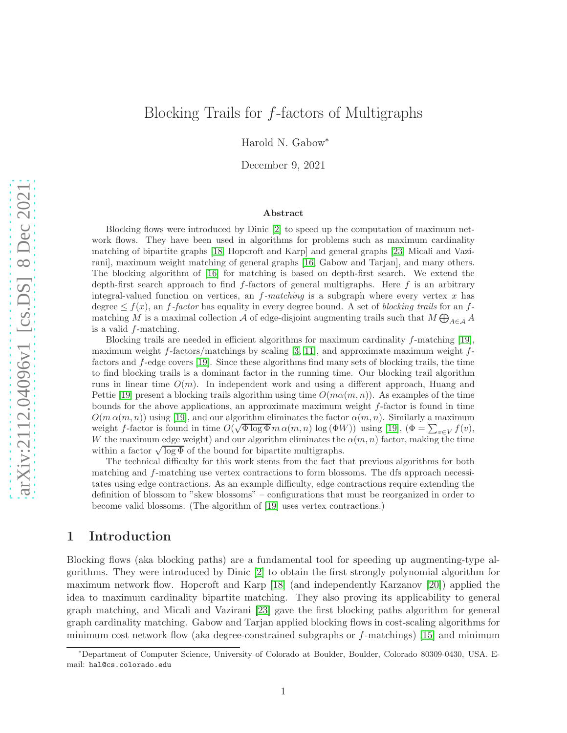# Blocking Trails for f-factors of Multigraphs

Harold N. Gabow<sup>∗</sup>

December 9, 2021

### Abstract

Blocking flows were introduced by Dinic [\[2\]](#page-31-0) to speed up the computation of maximum network flows. They have been used in algorithms for problems such as maximum cardinality matching of bipartite graphs [\[18,](#page-32-0) Hopcroft and Karp] and general graphs [\[23,](#page-32-1) Micali and Vazirani], maximum weight matching of general graphs [\[16,](#page-32-2) Gabow and Tarjan], and many others. The blocking algorithm of [\[16\]](#page-32-2) for matching is based on depth-first search. We extend the depth-first search approach to find  $f$ -factors of general multigraphs. Here  $f$  is an arbitrary integral-valued function on vertices, an f*-matching* is a subgraph where every vertex x has degree  $\leq f(x)$ , an f-factor has equality in every degree bound. A set of *blocking trails* for an fmatching M is a maximal collection  $\mathcal A$  of edge-disjoint augmenting trails such that  $M\bigoplus_{A\in\mathcal A} A$ is a valid f-matching.

Blocking trails are needed in efficient algorithms for maximum cardinality  $f$ -matching [\[19\]](#page-32-3), maximum weight f-factors/matchings by scaling [\[3,](#page-31-1) [11\]](#page-32-4), and approximate maximum weight  $f$ factors and f-edge covers [\[19\]](#page-32-3). Since these algorithms find many sets of blocking trails, the time to find blocking trails is a dominant factor in the running time. Our blocking trail algorithm runs in linear time  $O(m)$ . In independent work and using a different approach, Huang and Pettie [\[19\]](#page-32-3) present a blocking trails algorithm using time  $O(m\alpha(m, n))$ . As examples of the time bounds for the above applications, an approximate maximum weight f-factor is found in time  $O(m \alpha(m, n))$  using [\[19\]](#page-32-3), and our algorithm eliminates the factor  $\alpha(m, n)$ . Similarly a maximum weight f-factor is found in time  $O(\sqrt{\Phi \log \Phi} m \alpha(m, n) \log (\Phi W))$  using [\[19\]](#page-32-3),  $(\Phi = \sum_{v \in V} f(v))$ , W the maximum edge weight) and our algorithm eliminates the  $\alpha(m, n)$  factor, making the time within a factor  $\sqrt{\log \Phi}$  of the bound for bipartite multigraphs.

The technical difficulty for this work stems from the fact that previous algorithms for both matching and f-matching use vertex contractions to form blossoms. The dfs approach necessitates using edge contractions. As an example difficulty, edge contractions require extending the definition of blossom to "skew blossoms" – configurations that must be reorganized in order to become valid blossoms. (The algorithm of [\[19\]](#page-32-3) uses vertex contractions.)

# 1 Introduction

Blocking flows (aka blocking paths) are a fundamental tool for speeding up augmenting-type algorithms. They were introduced by Dinic [\[2\]](#page-31-0) to obtain the first strongly polynomial algorithm for maximum network flow. Hopcroft and Karp [\[18\]](#page-32-0) (and independently Karzanov [\[20\]](#page-32-5)) applied the idea to maximum cardinality bipartite matching. They also proving its applicability to general graph matching, and Micali and Vazirani [\[23\]](#page-32-1) gave the first blocking paths algorithm for general graph cardinality matching. Gabow and Tarjan applied blocking flows in cost-scaling algorithms for minimum cost network flow (aka degree-constrained subgraphs or  $f$ -matchings) [\[15\]](#page-32-6) and minimum

<sup>∗</sup>Department of Computer Science, University of Colorado at Boulder, Boulder, Colorado 80309-0430, USA. Email: hal@cs.colorado.edu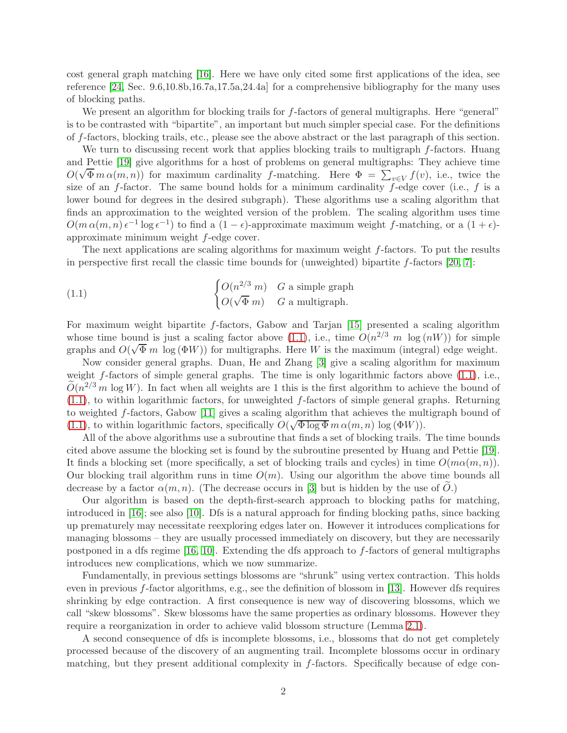cost general graph matching [\[16\]](#page-32-2). Here we have only cited some first applications of the idea, see reference [\[24,](#page-32-7) Sec. 9.6,10.8b,16.7a,17.5a,24.4a] for a comprehensive bibliography for the many uses of blocking paths.

We present an algorithm for blocking trails for f-factors of general multigraphs. Here "general" is to be contrasted with "bipartite", an important but much simpler special case. For the definitions of f-factors, blocking trails, etc., please see the above abstract or the last paragraph of this section.

We turn to discussing recent work that applies blocking trails to multigraph f-factors. Huang and Pettie [\[19\]](#page-32-3) give algorithms for a host of problems on general multigraphs: They achieve time  $O(\sqrt{\Phi} m \alpha(m,n))$  for maximum cardinality f-matching. Here  $\Phi = \sum_{v \in V} f(v)$ , i.e., twice the size of an f-factor. The same bound holds for a minimum cardinality f-edge cover (i.e., f is a lower bound for degrees in the desired subgraph). These algorithms use a scaling algorithm that finds an approximation to the weighted version of the problem. The scaling algorithm uses time  $O(m \alpha(m,n) \epsilon^{-1} \log \epsilon^{-1})$  to find a  $(1 - \epsilon)$ -approximate maximum weight f-matching, or a  $(1 + \epsilon)$ approximate minimum weight f-edge cover.

The next applications are scaling algorithms for maximum weight f-factors. To put the results in perspective first recall the classic time bounds for (unweighted) bipartite  $f$ -factors [\[20,](#page-32-5) [7\]](#page-32-8):

<span id="page-1-0"></span>(1.1) 
$$
\begin{cases} O(n^{2/3} m) & G \text{ a simple graph} \\ O(\sqrt{\Phi} m) & G \text{ a multigraph.} \end{cases}
$$

For maximum weight bipartite f-factors, Gabow and Tarjan [\[15\]](#page-32-6) presented a scaling algorithm whose time bound is just a scaling factor above [\(1.1\)](#page-1-0), i.e., time  $O(n^{2/3} m \log(nW))$  for simple graphs and  $O(\sqrt{\Phi} m \log{(\Phi W)})$  for multigraphs. Here W is the maximum (integral) edge weight.

Now consider general graphs. Duan, He and Zhang [\[3\]](#page-31-1) give a scaling algorithm for maximum weight  $f$ -factors of simple general graphs. The time is only logarithmic factors above  $(1.1)$ , i.e.,  $\widetilde{O}(n^{2/3} m \log W)$ . In fact when all weights are 1 this is the first algorithm to achieve the bound of  $(1.1)$ , to within logarithmic factors, for unweighted f-factors of simple general graphs. Returning to weighted f-factors, Gabow [\[11\]](#page-32-4) gives a scaling algorithm that achieves the multigraph bound of [\(1.1\)](#page-1-0), to within logarithmic factors, specifically  $O(\sqrt{\Phi \log \Phi} m \alpha(m,n) \log (\Phi W)).$ 

All of the above algorithms use a subroutine that finds a set of blocking trails. The time bounds cited above assume the blocking set is found by the subroutine presented by Huang and Pettie [\[19\]](#page-32-3). It finds a blocking set (more specifically, a set of blocking trails and cycles) in time  $O(m\alpha(m, n))$ . Our blocking trail algorithm runs in time  $O(m)$ . Using our algorithm the above time bounds all decrease by a factor  $\alpha(m, n)$ . (The decrease occurs in [\[3\]](#page-31-1) but is hidden by the use of O.)

Our algorithm is based on the depth-first-search approach to blocking paths for matching, introduced in [\[16\]](#page-32-2); see also [\[10\]](#page-32-9). Dfs is a natural approach for finding blocking paths, since backing up prematurely may necessitate reexploring edges later on. However it introduces complications for managing blossoms – they are usually processed immediately on discovery, but they are necessarily postponed in a dfs regime  $[16, 10]$  $[16, 10]$ . Extending the dfs approach to f-factors of general multigraphs introduces new complications, which we now summarize.

Fundamentally, in previous settings blossoms are "shrunk" using vertex contraction. This holds even in previous f-factor algorithms, e.g., see the definition of blossom in [\[13\]](#page-32-10). However dfs requires shrinking by edge contraction. A first consequence is new way of discovering blossoms, which we call "skew blossoms". Skew blossoms have the same properties as ordinary blossoms. However they require a reorganization in order to achieve valid blossom structure (Lemma [2.1\)](#page-4-0).

A second consequence of dfs is incomplete blossoms, i.e., blossoms that do not get completely processed because of the discovery of an augmenting trail. Incomplete blossoms occur in ordinary matching, but they present additional complexity in f-factors. Specifically because of edge con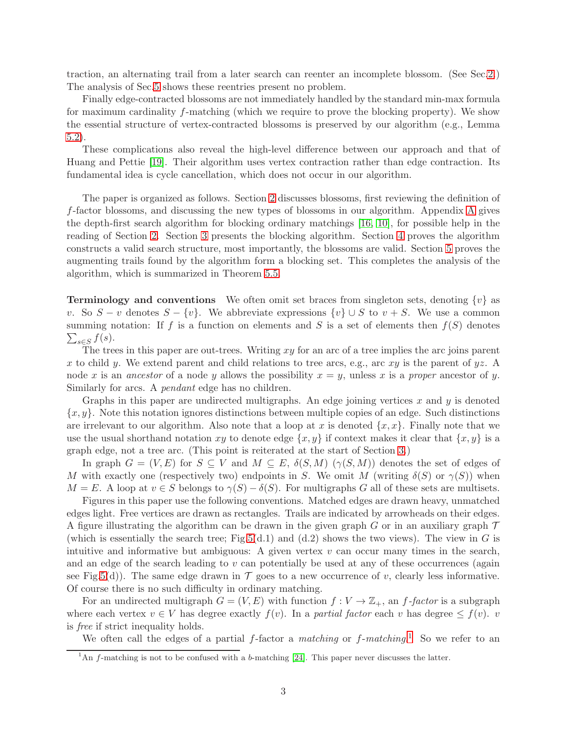traction, an alternating trail from a later search can reenter an incomplete blossom. (See Sec[.2.](#page-3-0)) The analysis of Sec[.5](#page-23-0) shows these reentries present no problem.

Finally edge-contracted blossoms are not immediately handled by the standard min-max formula for maximum cardinality f-matching (which we require to prove the blocking property). We show the essential structure of vertex-contracted blossoms is preserved by our algorithm (e.g., Lemma [5.2\)](#page-25-0).

These complications also reveal the high-level difference between our approach and that of Huang and Pettie [\[19\]](#page-32-3). Their algorithm uses vertex contraction rather than edge contraction. Its fundamental idea is cycle cancellation, which does not occur in our algorithm.

The paper is organized as follows. Section [2](#page-3-0) discusses blossoms, first reviewing the definition of f-factor blossoms, and discussing the new types of blossoms in our algorithm. Appendix [A](#page-31-2) gives the depth-first search algorithm for blocking ordinary matchings [\[16,](#page-32-2) [10\]](#page-32-9), for possible help in the reading of Section [2.](#page-3-0) Section [3](#page-7-0) presents the blocking algorithm. Section [4](#page-11-0) proves the algorithm constructs a valid search structure, most importantly, the blossoms are valid. Section [5](#page-23-0) proves the augmenting trails found by the algorithm form a blocking set. This completes the analysis of the algorithm, which is summarized in Theorem [5.5.](#page-30-0)

**Terminology and conventions** We often omit set braces from singleton sets, denoting  $\{v\}$  as v. So  $S - v$  denotes  $S - \{v\}$ . We abbreviate expressions  $\{v\} \cup S$  to  $v + S$ . We use a common  $\sum_{s\in S} f(s)$ . summing notation: If f is a function on elements and S is a set of elements then  $f(S)$  denotes

The trees in this paper are out-trees. Writing  $xy$  for an arc of a tree implies the arc joins parent x to child y. We extend parent and child relations to tree arcs, e.g., arc xy is the parent of  $yz$ . A node x is an *ancestor* of a node y allows the possibility  $x = y$ , unless x is a *proper* ancestor of y. Similarly for arcs. A *pendant* edge has no children.

Graphs in this paper are undirected multigraphs. An edge joining vertices  $x$  and  $y$  is denoted  ${x, y}$ . Note this notation ignores distinctions between multiple copies of an edge. Such distinctions are irrelevant to our algorithm. Also note that a loop at x is denoted  $\{x, x\}$ . Finally note that we use the usual shorthand notation xy to denote edge  $\{x, y\}$  if context makes it clear that  $\{x, y\}$  is a graph edge, not a tree arc. (This point is reiterated at the start of Section [3.](#page-7-0))

In graph  $G = (V, E)$  for  $S \subseteq V$  and  $M \subseteq E$ ,  $\delta(S, M)$  ( $\gamma(S, M)$ ) denotes the set of edges of M with exactly one (respectively two) endpoints in S. We omit M (writing  $\delta(S)$  or  $\gamma(S)$ ) when  $M = E$ . A loop at  $v \in S$  belongs to  $\gamma(S) - \delta(S)$ . For multigraphs G all of these sets are multisets.

Figures in this paper use the following conventions. Matched edges are drawn heavy, unmatched edges light. Free vertices are drawn as rectangles. Trails are indicated by arrowheads on their edges. A figure illustrating the algorithm can be drawn in the given graph G or in an auxiliary graph  $\mathcal T$ (which is essentially the search tree; Fig[.5\(](#page-10-0)d.1) and (d.2) shows the two views). The view in G is intuitive and informative but ambiguous: A given vertex  $v$  can occur many times in the search, and an edge of the search leading to  $v$  can potentially be used at any of these occurrences (again see Fig[.5\(](#page-10-0)d)). The same edge drawn in  $\mathcal T$  goes to a new occurrence of v, clearly less informative. Of course there is no such difficulty in ordinary matching.

For an undirected multigraph  $G = (V, E)$  with function  $f: V \to \mathbb{Z}_+$ , an f-factor is a subgraph where each vertex  $v \in V$  has degree exactly  $f(v)$ . In a *partial factor* each v has degree  $\leq f(v)$ . v is *free* if strict inequality holds.

We often call the edges of a partial f-factor a *matching* or f-matching.<sup>[1](#page-2-0)</sup> So we refer to an

<span id="page-2-0"></span><sup>&</sup>lt;sup>1</sup>An f-matching is not to be confused with a b-matching [\[24\]](#page-32-7). This paper never discusses the latter.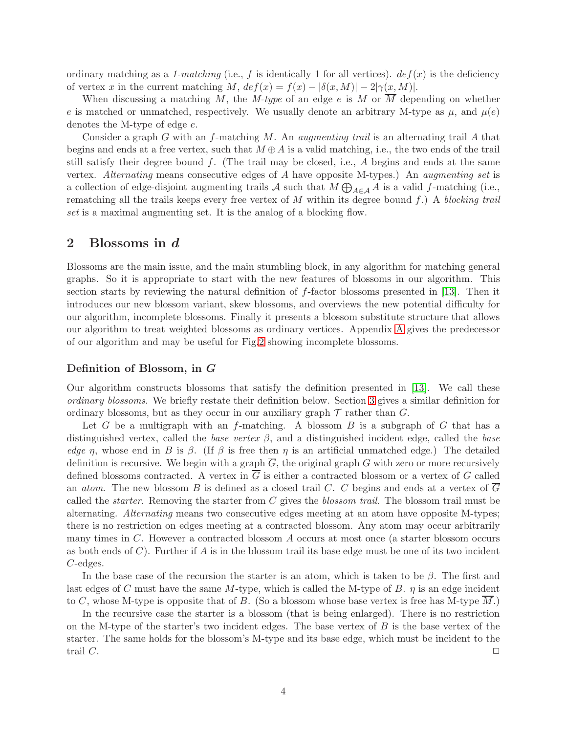ordinary matching as a *1-matching* (i.e., f is identically 1 for all vertices).  $def(x)$  is the deficiency of vertex x in the current matching M,  $def(x) = f(x) - |\delta(x, M)| - 2|\gamma(x, M)|$ .

When discussing a matching M, the *M-type* of an edge e is M or M depending on whether e is matched or unmatched, respectively. We usually denote an arbitrary M-type as  $\mu$ , and  $\mu$ (e) denotes the M-type of edge e.

Consider a graph G with an f-matching M. An *augmenting trail* is an alternating trail A that begins and ends at a free vertex, such that  $M \oplus A$  is a valid matching, i.e., the two ends of the trail still satisfy their degree bound  $f$ . (The trail may be closed, i.e.,  $A$  begins and ends at the same vertex. *Alternating* means consecutive edges of A have opposite M-types.) An *augmenting set* is a collection of edge-disjoint augmenting trails A such that  $M \bigoplus_{A \in \mathcal{A}} A$  is a valid f-matching (i.e., rematching all the trails keeps every free vertex of M within its degree bound f.) A *blocking trail set* is a maximal augmenting set. It is the analog of a blocking flow.

### <span id="page-3-0"></span>2 Blossoms in d

Blossoms are the main issue, and the main stumbling block, in any algorithm for matching general graphs. So it is appropriate to start with the new features of blossoms in our algorithm. This section starts by reviewing the natural definition of f-factor blossoms presented in [\[13\]](#page-32-10). Then it introduces our new blossom variant, skew blossoms, and overviews the new potential difficulty for our algorithm, incomplete blossoms. Finally it presents a blossom substitute structure that allows our algorithm to treat weighted blossoms as ordinary vertices. Appendix [A](#page-31-2) gives the predecessor of our algorithm and may be useful for Fig[.2](#page-6-0) showing incomplete blossoms.

### Definition of Blossom, in G

Our algorithm constructs blossoms that satisfy the definition presented in [\[13\]](#page-32-10). We call these *ordinary blossoms*. We briefly restate their definition below. Section [3](#page-7-0) gives a similar definition for ordinary blossoms, but as they occur in our auxiliary graph  $\mathcal T$  rather than  $G$ .

Let G be a multigraph with an f-matching. A blossom B is a subgraph of G that has a distinguished vertex, called the *base vertex*  $\beta$ , and a distinguished incident edge, called the *base edge* η, whose end in B is  $\beta$ . (If  $\beta$  is free then  $\eta$  is an artificial unmatched edge.) The detailed definition is recursive. We begin with a graph  $\overline{G}$ , the original graph G with zero or more recursively defined blossoms contracted. A vertex in  $\overline{G}$  is either a contracted blossom or a vertex of G called an *atom*. The new blossom B is defined as a closed trail C. C begins and ends at a vertex of  $\overline{G}$ called the *starter*. Removing the starter from C gives the *blossom trail*. The blossom trail must be alternating. *Alternating* means two consecutive edges meeting at an atom have opposite M-types; there is no restriction on edges meeting at a contracted blossom. Any atom may occur arbitrarily many times in C. However a contracted blossom A occurs at most once (a starter blossom occurs as both ends of  $C$ ). Further if A is in the blossom trail its base edge must be one of its two incident C-edges.

In the base case of the recursion the starter is an atom, which is taken to be  $\beta$ . The first and last edges of C must have the same M-type, which is called the M-type of B.  $\eta$  is an edge incident to C, whose M-type is opposite that of B. (So a blossom whose base vertex is free has M-type  $M$ .)

In the recursive case the starter is a blossom (that is being enlarged). There is no restriction on the M-type of the starter's two incident edges. The base vertex of  $B$  is the base vertex of the starter. The same holds for the blossom's M-type and its base edge, which must be incident to the trail  $C$ .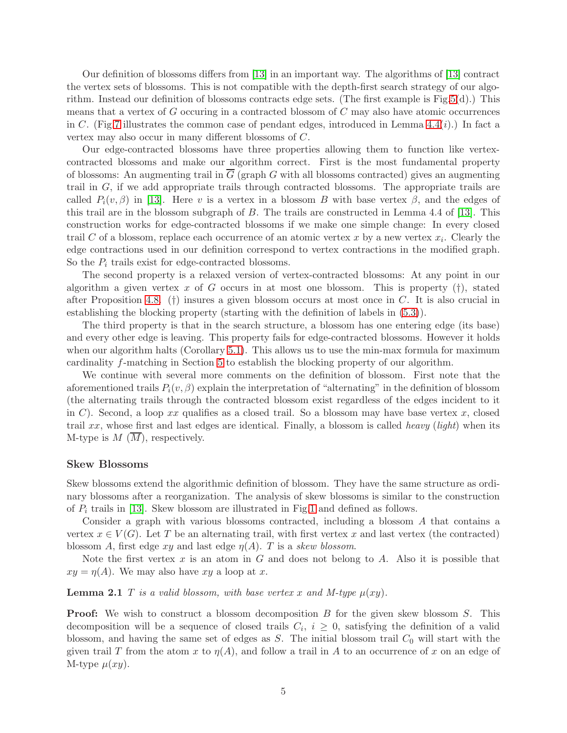Our definition of blossoms differs from [\[13\]](#page-32-10) in an important way. The algorithms of [\[13\]](#page-32-10) contract the vertex sets of blossoms. This is not compatible with the depth-first search strategy of our algorithm. Instead our definition of blossoms contracts edge sets. (The first example is Fig[.5\(](#page-10-0)d).) This means that a vertex of  $G$  occuring in a contracted blossom of  $C$  may also have atomic occurrences in C. (Fig[.7](#page-15-0) illustrates the common case of pendant edges, introduced in Lemma  $4.4(i)$ .) In fact a vertex may also occur in many different blossoms of C.

Our edge-contracted blossoms have three properties allowing them to function like vertexcontracted blossoms and make our algorithm correct. First is the most fundamental property of blossoms: An augmenting trail in  $\overline{G}$  (graph G with all blossoms contracted) gives an augmenting trail in G, if we add appropriate trails through contracted blossoms. The appropriate trails are called  $P_i(v, \beta)$  in [\[13\]](#page-32-10). Here v is a vertex in a blossom B with base vertex  $\beta$ , and the edges of this trail are in the blossom subgraph of B. The trails are constructed in Lemma 4.4 of [\[13\]](#page-32-10). This construction works for edge-contracted blossoms if we make one simple change: In every closed trail C of a blossom, replace each occurrence of an atomic vertex x by a new vertex  $x_i$ . Clearly the edge contractions used in our definition correspond to vertex contractions in the modified graph. So the  $P_i$  trails exist for edge-contracted blossoms.

The second property is a relaxed version of vertex-contracted blossoms: At any point in our algorithm a given vertex x of G occurs in at most one blossom. This is property  $(†)$ , stated after Proposition [4.8.](#page-17-0) (†) insures a given blossom occurs at most once in  $C$ . It is also crucial in establishing the blocking property (starting with the definition of labels in [\(5.3\)](#page-27-0)).

The third property is that in the search structure, a blossom has one entering edge (its base) and every other edge is leaving. This property fails for edge-contracted blossoms. However it holds when our algorithm halts (Corollary [5.1\)](#page-23-1). This allows us to use the min-max formula for maximum cardinality f-matching in Section [5](#page-23-0) to establish the blocking property of our algorithm.

We continue with several more comments on the definition of blossom. First note that the aforementioned trails  $P_i(v, \beta)$  explain the interpretation of "alternating" in the definition of blossom (the alternating trails through the contracted blossom exist regardless of the edges incident to it in C). Second, a loop xx qualifies as a closed trail. So a blossom may have base vertex x, closed trail xx, whose first and last edges are identical. Finally, a blossom is called *heavy* (*light*) when its M-type is  $M(\overline{M})$ , respectively.

#### Skew Blossoms

Skew blossoms extend the algorithmic definition of blossom. They have the same structure as ordinary blossoms after a reorganization. The analysis of skew blossoms is similar to the construction of  $P_i$  trails in [\[13\]](#page-32-10). Skew blossom are illustrated in Fig[.1](#page-5-0) and defined as follows.

Consider a graph with various blossoms contracted, including a blossom A that contains a vertex  $x \in V(G)$ . Let T be an alternating trail, with first vertex x and last vertex (the contracted) blossom A, first edge xy and last edge η(A). T is a *skew blossom*.

<span id="page-4-0"></span>Note the first vertex x is an atom in G and does not belong to A. Also it is possible that  $xy = \eta(A)$ . We may also have xy a loop at x.

#### **Lemma 2.1** T is a valid blossom, with base vertex x and M-type  $\mu(xy)$ .

**Proof:** We wish to construct a blossom decomposition B for the given skew blossom S. This decomposition will be a sequence of closed trails  $C_i$ ,  $i \geq 0$ , satisfying the definition of a valid blossom, and having the same set of edges as  $S$ . The initial blossom trail  $C_0$  will start with the given trail T from the atom x to  $\eta(A)$ , and follow a trail in A to an occurrence of x on an edge of M-type  $\mu(xy)$ .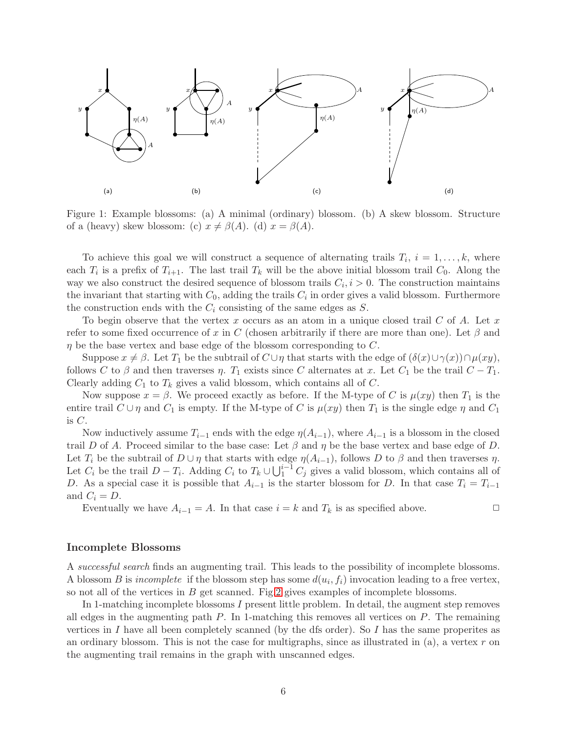

<span id="page-5-0"></span>Figure 1: Example blossoms: (a) A minimal (ordinary) blossom. (b) A skew blossom. Structure of a (heavy) skew blossom: (c)  $x \neq \beta(A)$ . (d)  $x = \beta(A)$ .

To achieve this goal we will construct a sequence of alternating trails  $T_i$ ,  $i = 1, \ldots, k$ , where each  $T_i$  is a prefix of  $T_{i+1}$ . The last trail  $T_k$  will be the above initial blossom trail  $C_0$ . Along the way we also construct the desired sequence of blossom trails  $C_i, i > 0$ . The construction maintains the invariant that starting with  $C_0$ , adding the trails  $C_i$  in order gives a valid blossom. Furthermore the construction ends with the  $C_i$  consisting of the same edges as  $S$ .

To begin observe that the vertex  $x$  occurs as an atom in a unique closed trail  $C$  of  $A$ . Let  $x$ refer to some fixed occurrence of x in C (chosen arbitrarily if there are more than one). Let  $\beta$  and  $\eta$  be the base vertex and base edge of the blossom corresponding to C.

Suppose  $x \neq \beta$ . Let  $T_1$  be the subtrail of  $C \cup \eta$  that starts with the edge of  $(\delta(x) \cup \gamma(x)) \cap \mu(xy)$ , follows C to  $\beta$  and then traverses  $\eta$ .  $T_1$  exists since C alternates at x. Let  $C_1$  be the trail  $C - T_1$ . Clearly adding  $C_1$  to  $T_k$  gives a valid blossom, which contains all of  $C$ .

Now suppose  $x = \beta$ . We proceed exactly as before. If the M-type of C is  $\mu(xy)$  then  $T_1$  is the entire trail  $C \cup \eta$  and  $C_1$  is empty. If the M-type of C is  $\mu(xy)$  then  $T_1$  is the single edge  $\eta$  and  $C_1$ is  $C$ .

Now inductively assume  $T_{i-1}$  ends with the edge  $\eta(A_{i-1})$ , where  $A_{i-1}$  is a blossom in the closed trail D of A. Proceed similar to the base case: Let  $\beta$  and  $\eta$  be the base vertex and base edge of D. Let  $T_i$  be the subtrail of  $D \cup \eta$  that starts with edge  $\eta(A_{i-1})$ , follows D to  $\beta$  and then traverses  $\eta$ . Let  $C_i$  be the trail  $D - T_i$ . Adding  $C_i$  to  $T_k \cup \bigcup_{1}^{i-1} C_j$  gives a valid blossom, which contains all of D. As a special case it is possible that  $A_{i-1}$  is the starter blossom for D. In that case  $T_i = T_{i-1}$ and  $C_i = D$ .

Eventually we have  $A_{i-1} = A$ . In that case  $i = k$  and  $T_k$  is as specified above.  $\Box$ 

#### Incomplete Blossoms

A *successful search* finds an augmenting trail. This leads to the possibility of incomplete blossoms. A blossom *B* is *incomplete* if the blossom step has some  $d(u_i, f_i)$  invocation leading to a free vertex, so not all of the vertices in  $B$  get scanned. Fig[.2](#page-6-0) gives examples of incomplete blossoms.

In 1-matching incomplete blossoms I present little problem. In detail, the augment step removes all edges in the augmenting path  $P$ . In 1-matching this removes all vertices on  $P$ . The remaining vertices in I have all been completely scanned (by the dfs order). So I has the same properites as an ordinary blossom. This is not the case for multigraphs, since as illustrated in  $(a)$ , a vertex r on the augmenting trail remains in the graph with unscanned edges.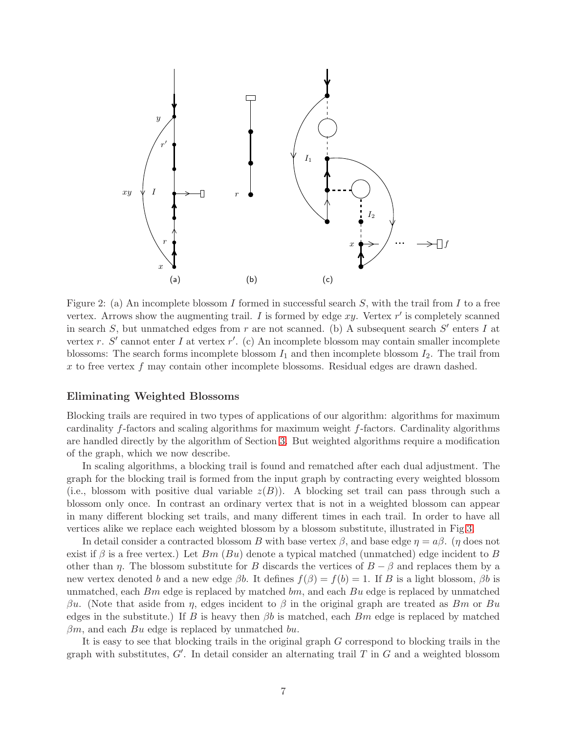

<span id="page-6-0"></span>Figure 2: (a) An incomplete blossom I formed in successful search  $S$ , with the trail from I to a free vertex. Arrows show the augmenting trail. I is formed by edge  $xy$ . Vertex  $r'$  is completely scanned in search S, but unmatched edges from r are not scanned. (b) A subsequent search  $S'$  enters I at vertex r. S' cannot enter I at vertex r'. (c) An incomplete blossom may contain smaller incomplete blossoms: The search forms incomplete blossom  $I_1$  and then incomplete blossom  $I_2$ . The trail from x to free vertex  $f$  may contain other incomplete blossoms. Residual edges are drawn dashed.

### Eliminating Weighted Blossoms

Blocking trails are required in two types of applications of our algorithm: algorithms for maximum cardinality f-factors and scaling algorithms for maximum weight f-factors. Cardinality algorithms are handled directly by the algorithm of Section [3.](#page-7-0) But weighted algorithms require a modification of the graph, which we now describe.

In scaling algorithms, a blocking trail is found and rematched after each dual adjustment. The graph for the blocking trail is formed from the input graph by contracting every weighted blossom (i.e., blossom with positive dual variable  $z(B)$ ). A blocking set trail can pass through such a blossom only once. In contrast an ordinary vertex that is not in a weighted blossom can appear in many different blocking set trails, and many different times in each trail. In order to have all vertices alike we replace each weighted blossom by a blossom substitute, illustrated in Fig[.3.](#page-7-1)

In detail consider a contracted blossom B with base vertex  $\beta$ , and base edge  $\eta = a\beta$ . ( $\eta$  does not exist if  $\beta$  is a free vertex.) Let  $Bm$  ( $Bu$ ) denote a typical matched (unmatched) edge incident to B other than  $\eta$ . The blossom substitute for B discards the vertices of  $B - \beta$  and replaces them by a new vertex denoted b and a new edge  $\beta b$ . It defines  $f(\beta) = f(b) = 1$ . If B is a light blossom,  $\beta b$  is unmatched, each  $Bm$  edge is replaced by matched  $bm$ , and each  $Bu$  edge is replaced by unmatched βu. (Note that aside from η, edges incident to β in the original graph are treated as Bm or Bu edges in the substitute.) If B is heavy then  $\beta b$  is matched, each Bm edge is replaced by matched  $\beta m$ , and each Bu edge is replaced by unmatched bu.

It is easy to see that blocking trails in the original graph G correspond to blocking trails in the graph with substitutes,  $G'$ . In detail consider an alternating trail  $T$  in  $G$  and a weighted blossom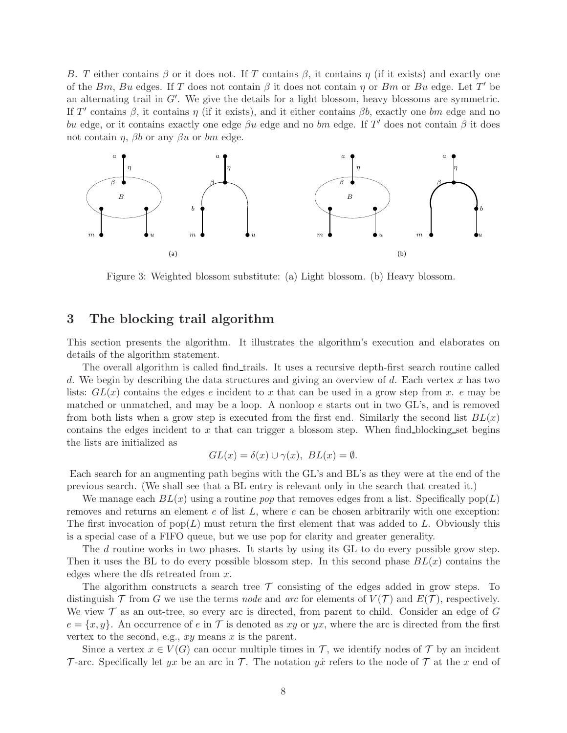B. T either contains  $\beta$  or it does not. If T contains  $\beta$ , it contains  $\eta$  (if it exists) and exactly one of the Bm, Bu edges. If T does not contain  $\beta$  it does not contain  $\eta$  or Bm or Bu edge. Let T' be an alternating trail in  $G'$ . We give the details for a light blossom, heavy blossoms are symmetric. If T' contains  $\beta$ , it contains  $\eta$  (if it exists), and it either contains  $\beta b$ , exactly one bm edge and no bu edge, or it contains exactly one edge  $\beta u$  edge and no bm edge. If T' does not contain  $\beta$  it does not contain  $\eta$ ,  $\beta b$  or any  $\beta u$  or bm edge.



<span id="page-7-1"></span>Figure 3: Weighted blossom substitute: (a) Light blossom. (b) Heavy blossom.

## <span id="page-7-0"></span>3 The blocking trail algorithm

This section presents the algorithm. It illustrates the algorithm's execution and elaborates on details of the algorithm statement.

The overall algorithm is called find trails. It uses a recursive depth-first search routine called d. We begin by describing the data structures and giving an overview of d. Each vertex  $x$  has two lists:  $GL(x)$  contains the edges e incident to x that can be used in a grow step from x. e may be matched or unmatched, and may be a loop. A nonloop  $e$  starts out in two GL's, and is removed from both lists when a grow step is executed from the first end. Similarly the second list  $BL(x)$ contains the edges incident to  $x$  that can trigger a blossom step. When find blocking set begins the lists are initialized as

$$
GL(x) = \delta(x) \cup \gamma(x), BL(x) = \emptyset.
$$

Each search for an augmenting path begins with the GL's and BL's as they were at the end of the previous search. (We shall see that a BL entry is relevant only in the search that created it.)

We manage each  $BL(x)$  using a routine *pop* that removes edges from a list. Specifically  $pop(L)$ removes and returns an element  $e$  of list  $L$ , where  $e$  can be chosen arbitrarily with one exception: The first invocation of  $pop(L)$  must return the first element that was added to L. Obviously this is a special case of a FIFO queue, but we use pop for clarity and greater generality.

The d routine works in two phases. It starts by using its GL to do every possible grow step. Then it uses the BL to do every possible blossom step. In this second phase  $BL(x)$  contains the edges where the dfs retreated from x.

The algorithm constructs a search tree  $\mathcal T$  consisting of the edges added in grow steps. To distinguish  $\mathcal T$  from G we use the terms *node* and *arc* for elements of  $V(\mathcal T)$  and  $E(\mathcal T)$ , respectively. We view  $\mathcal T$  as an out-tree, so every arc is directed, from parent to child. Consider an edge of  $G$  $e = \{x, y\}$ . An occurrence of e in T is denoted as xy or yx, where the arc is directed from the first vertex to the second, e.g.,  $xy$  means  $x$  is the parent.

Since a vertex  $x \in V(G)$  can occur multiple times in T, we identify nodes of T by an incident T-arc. Specifically let yx be an arc in T. The notation yx refers to the node of T at the x end of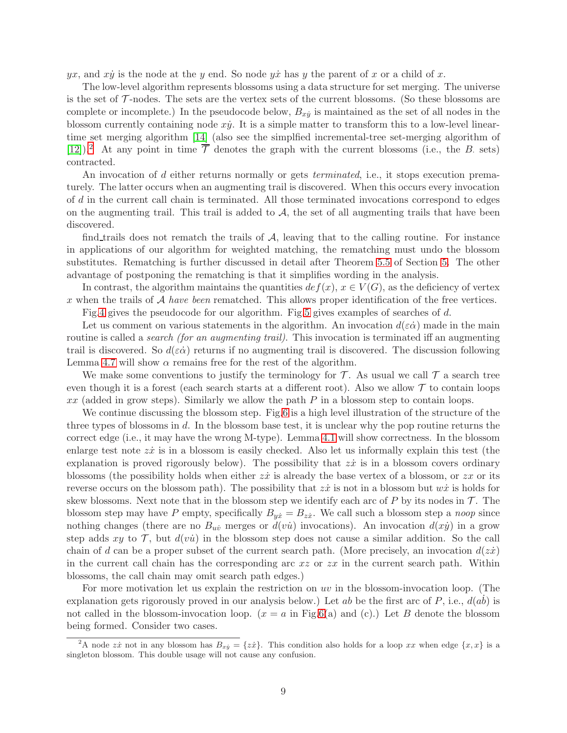yx, and xy is the node at the y end. So node yx has y the parent of x or a child of x.

The low-level algorithm represents blossoms using a data structure for set merging. The universe is the set of  $\mathcal T$ -nodes. The sets are the vertex sets of the current blossoms. (So these blossoms are complete or incomplete.) In the pseudocode below,  $B_{xy}$  is maintained as the set of all nodes in the blossom currently containing node  $xy$ . It is a simple matter to transform this to a low-level lineartime set merging algorithm [\[14\]](#page-32-11) (also see the simplfied incremental-tree set-merging algorithm of [\[12\]](#page-32-12)).<sup>[2](#page-8-0)</sup> At any point in time  $\overline{\mathcal{T}}$  denotes the graph with the current blossoms (i.e., the B. sets) contracted.

An invocation of d either returns normally or gets *terminated*, i.e., it stops execution prematurely. The latter occurs when an augmenting trail is discovered. When this occurs every invocation of d in the current call chain is terminated. All those terminated invocations correspond to edges on the augmenting trail. This trail is added to  $A$ , the set of all augmenting trails that have been discovered.

find trails does not rematch the trails of  $A$ , leaving that to the calling routine. For instance in applications of our algorithm for weighted matching, the rematching must undo the blossom substitutes. Rematching is further discussed in detail after Theorem [5.5](#page-30-0) of Section [5.](#page-23-0) The other advantage of postponing the rematching is that it simplifies wording in the analysis.

In contrast, the algorithm maintains the quantities  $def(x), x \in V(G)$ , as the deficiency of vertex x when the trails of A *have been* rematched. This allows proper identification of the free vertices.

Fig[.4](#page-9-0) gives the pseudocode for our algorithm. Fig[.5](#page-10-0) gives examples of searches of d.

Let us comment on various statements in the algorithm. An invocation  $d(\epsilon \dot{\alpha})$  made in the main routine is called a *search (for an augmenting trail)*. This invocation is terminated iff an augmenting trail is discovered. So  $d(\varepsilon \dot{\alpha})$  returns if no augmenting trail is discovered. The discussion following Lemma [4.7](#page-17-1) will show  $\alpha$  remains free for the rest of the algorithm.

We make some conventions to justify the terminology for  $\mathcal T$ . As usual we call  $\mathcal T$  a search tree even though it is a forest (each search starts at a different root). Also we allow  $\mathcal T$  to contain loops  $xx$  (added in grow steps). Similarly we allow the path P in a blossom step to contain loops.

We continue discussing the blossom step. Fig[.6](#page-11-1) is a high level illustration of the structure of the three types of blossoms in d. In the blossom base test, it is unclear why the pop routine returns the correct edge (i.e., it may have the wrong M-type). Lemma [4.1](#page-12-0) will show correctness. In the blossom enlarge test note  $z\dot{x}$  is in a blossom is easily checked. Also let us informally explain this test (the explanation is proved rigorously below). The possibility that  $z\dot{x}$  is in a blossom covers ordinary blossoms (the possibility holds when either  $z\dot{x}$  is already the base vertex of a blossom, or  $zx$  or its reverse occurs on the blossom path). The possibility that  $z\dot{x}$  is not in a blossom but  $w\dot{x}$  is holds for skew blossoms. Next note that in the blossom step we identify each arc of  $P$  by its nodes in  $\mathcal{T}$ . The blossom step may have P empty, specifically  $B_{y\dot{x}} = B_{z\dot{x}}$ . We call such a blossom step a *noop* since nothing changes (there are no  $B_{uv}$  merges or  $d(v\dot{u})$  invocations). An invocation  $d(x\dot{y})$  in a grow step adds xy to  $\mathcal{T}$ , but  $d(v\dot{u})$  in the blossom step does not cause a similar addition. So the call chain of d can be a proper subset of the current search path. (More precisely, an invocation  $d(zz)$ in the current call chain has the corresponding arc  $xz$  or  $zx$  in the current search path. Within blossoms, the call chain may omit search path edges.)

For more motivation let us explain the restriction on uv in the blossom-invocation loop. (The explanation gets rigorously proved in our analysis below.) Let ab be the first arc of P, i.e.,  $d(ab)$  is not called in the blossom-invocation loop.  $(x = a$  in Fig[.6\(](#page-11-1)a) and (c).) Let B denote the blossom being formed. Consider two cases.

<span id="page-8-0"></span><sup>&</sup>lt;sup>2</sup>A node  $z\dot{x}$  not in any blossom has  $B_{x\dot{y}} = \{z\dot{x}\}\$ . This condition also holds for a loop  $xx$  when edge  $\{x, x\}$  is a singleton blossom. This double usage will not cause any confusion.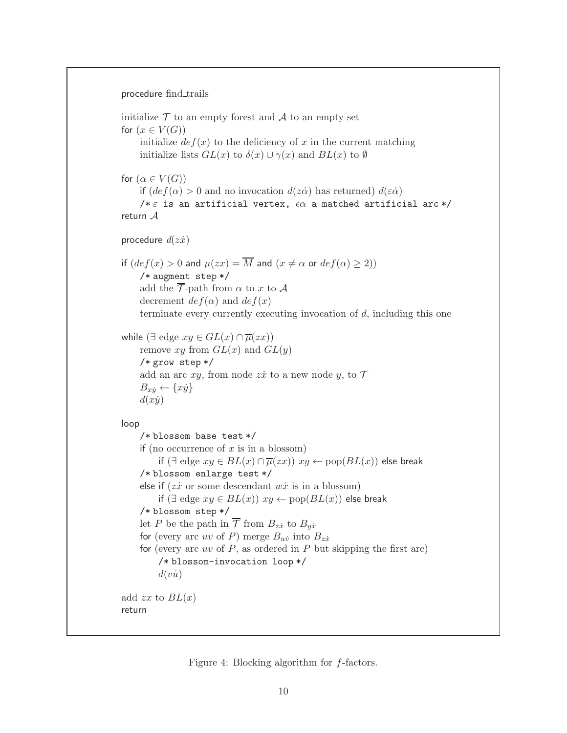```
procedure find_trails
```

```
initialize \mathcal T to an empty forest and \mathcal A to an empty set
for (x \in V(G))initialize def(x) to the deficiency of x in the current matching
     initialize lists GL(x) to \delta(x) \cup \gamma(x) and BL(x) to \emptysetfor (\alpha \in V(G))if \det(\alpha) > 0 and no invocation d(z\dot{\alpha}) has returned) d(\epsilon \dot{\alpha})/* \varepsilon is an artificial vertex, \epsilon \alpha a matched artificial arc */
return Aprocedure d(z\dot{x})if \det(\det(x) > 0 and \mu(zx) = \overline{M} and (x \neq \alpha \text{ or } \det f(\alpha) \geq 2)/* augment step */
     add the \overline{\mathcal{T}}-path from \alpha to x to A
     decrement def(\alpha) and def(x)terminate every currently executing invocation of d, including this one
while (\exists edge xy \in GL(x) \cap \overline{\mu}(zx))remove xy from GL(x) and GL(y)/* grow step */
     add an arc xy, from node z\dot{x} to a new node y, to \mathcal TB_{x\dot{y}} \leftarrow \{x\dot{y}\}\d(x\dot{y})loop
     /* blossom base test */
     if (no occurrence of x is in a blossom)
          if (\exists edge xy \in BL(x) \cap \overline{\mu}(zx)) xy \leftarrow pop(BL(x)) else break
     /* blossom enlarge test */
     else if (zx \text{ or some descendant } wx \text{ is in a blossom})if (∃ edge xy \in BL(x)) xy \leftarrow pop(BL(x)) else break
     /* blossom step */
     let P be the path in \overline{\mathcal{T}} from B_{z\dot{x}} to B_{y\dot{x}}for (every arc uv of P) merge B_{u\dot{v}} into B_{z\dot{x}}for (every arc uv of P, as ordered in P but skipping the first arc)
          /* blossom-invocation loop */
          d(v\dot{u})add zx to BL(x)return
```
<span id="page-9-0"></span>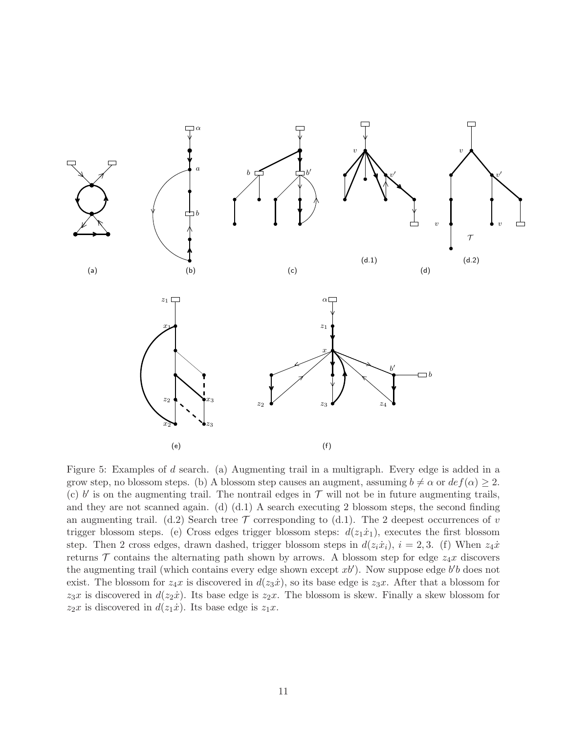

<span id="page-10-0"></span>Figure 5: Examples of d search. (a) Augmenting trail in a multigraph. Every edge is added in a grow step, no blossom steps. (b) A blossom step causes an augment, assuming  $b \neq \alpha$  or  $def(\alpha) \geq 2$ . (c)  $b'$  is on the augmenting trail. The nontrail edges in  $\mathcal T$  will not be in future augmenting trails, and they are not scanned again. (d)  $(d.1)$  A search executing 2 blossom steps, the second finding an augmenting trail. (d.2) Search tree  $\mathcal T$  corresponding to (d.1). The 2 deepest occurrences of v trigger blossom steps. (e) Cross edges trigger blossom steps:  $d(z_1\dot{x}_1)$ , executes the first blossom step. Then 2 cross edges, drawn dashed, trigger blossom steps in  $d(z_i\dot{x}_i)$ ,  $i = 2, 3$ . (f) When  $z_4\dot{x}$ returns  $\mathcal T$  contains the alternating path shown by arrows. A blossom step for edge  $z_4x$  discovers the augmenting trail (which contains every edge shown except  $xb'$ ). Now suppose edge  $b'b$  does not exist. The blossom for  $z_4x$  is discovered in  $d(z_3x)$ , so its base edge is  $z_3x$ . After that a blossom for  $z_3x$  is discovered in  $d(z_2\dot{x})$ . Its base edge is  $z_2x$ . The blossom is skew. Finally a skew blossom for  $z_2x$  is discovered in  $d(z_1\dot{x})$ . Its base edge is  $z_1x$ .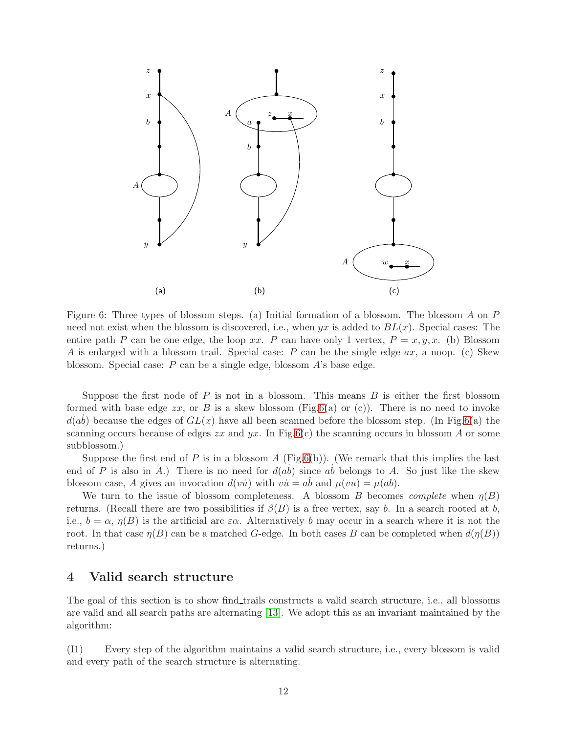

<span id="page-11-1"></span>Figure 6: Three types of blossom steps. (a) Initial formation of a blossom. The blossom A on P need not exist when the blossom is discovered, i.e., when  $yx$  is added to  $BL(x)$ . Special cases: The entire path P can be one edge, the loop xx. P can have only 1 vertex,  $P = x, y, x$ . (b) Blossom A is enlarged with a blossom trail. Special case:  $P$  can be the single edge  $ax$ , a noop. (c) Skew blossom. Special case: P can be a single edge, blossom A's base edge.

Suppose the first node of  $P$  is not in a blossom. This means  $B$  is either the first blossom formed with base edge  $zx$ , or B is a skew blossom (Fig[.6\(](#page-11-1)a) or (c)). There is no need to invoke  $d(ab)$  because the edges of  $GL(x)$  have all been scanned before the blossom step. (In Fig[.6\(](#page-11-1)a) the scanning occurs because of edges  $zx$  and  $yx$ . In Fig[.6\(](#page-11-1)c) the scanning occurs in blossom A or some subblossom.)

Suppose the first end of P is in a blossom A (Fig[.6\(](#page-11-1)b)). (We remark that this implies the last end of P is also in A.) There is no need for  $d(ab)$  since  $ab$  belongs to A. So just like the skew blossom case, A gives an invocation  $d(v\dot{u})$  with  $v\dot{u} = a\dot{b}$  and  $\mu(vu) = \mu(ab)$ .

We turn to the issue of blossom completeness. A blossom B becomes *complete* when  $\eta(B)$ returns. (Recall there are two possibilities if  $\beta(B)$  is a free vertex, say b. In a search rooted at b, i.e.,  $b = \alpha$ ,  $\eta(B)$  is the artificial arc  $\varepsilon\alpha$ . Alternatively b may occur in a search where it is not the root. In that case  $\eta(B)$  can be a matched G-edge. In both cases B can be completed when  $d(\eta(B))$ returns.)

# <span id="page-11-0"></span>4 Valid search structure

The goal of this section is to show find trails constructs a valid search structure, i.e., all blossoms are valid and all search paths are alternating [\[13\]](#page-32-10). We adopt this as an invariant maintained by the algorithm:

(I1) Every step of the algorithm maintains a valid search structure, i.e., every blossom is valid and every path of the search structure is alternating.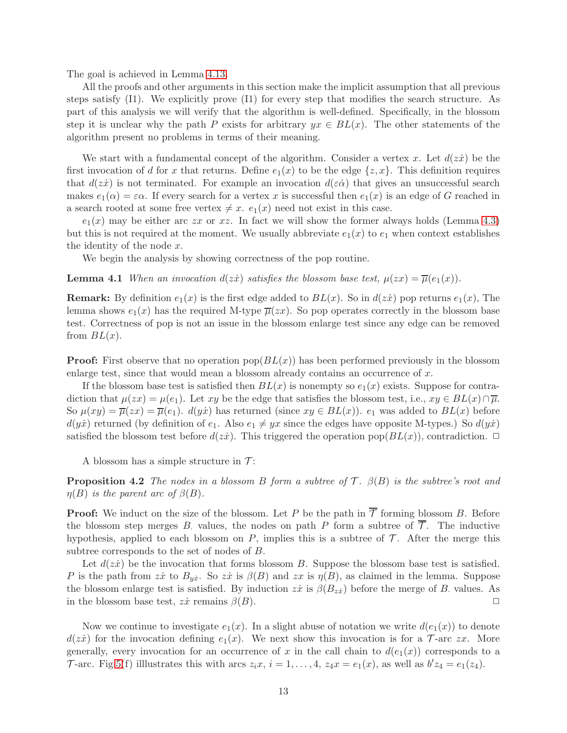The goal is achieved in Lemma [4.13.](#page-23-2)

All the proofs and other arguments in this section make the implicit assumption that all previous steps satisfy (I1). We explicitly prove (I1) for every step that modifies the search structure. As part of this analysis we will verify that the algorithm is well-defined. Specifically, in the blossom step it is unclear why the path P exists for arbitrary  $yx \in BL(x)$ . The other statements of the algorithm present no problems in terms of their meaning.

We start with a fundamental concept of the algorithm. Consider a vertex x. Let  $d(zz)$  be the first invocation of d for x that returns. Define  $e_1(x)$  to be the edge  $\{z, x\}$ . This definition requires that  $d(zz)$  is not terminated. For example an invocation  $d(\epsilon \dot{\alpha})$  that gives an unsuccessful search makes  $e_1(\alpha) = \varepsilon \alpha$ . If every search for a vertex x is successful then  $e_1(x)$  is an edge of G reached in a search rooted at some free vertex  $\neq x$ .  $e_1(x)$  need not exist in this case.

 $e_1(x)$  may be either arc zx or xz. In fact we will show the former always holds (Lemma [4.3\)](#page-12-1) but this is not required at the moment. We usually abbreviate  $e_1(x)$  to  $e_1$  when context establishes the identity of the node x.

<span id="page-12-0"></span>We begin the analysis by showing correctness of the pop routine.

**Lemma 4.1** *When an invocation*  $d(z\dot{x})$  *satisfies the blossom base test,*  $\mu(zx) = \overline{\mu}(e_1(x))$ *.* 

**Remark:** By definition  $e_1(x)$  is the first edge added to  $BL(x)$ . So in  $d(zx)$  pop returns  $e_1(x)$ , The lemma shows  $e_1(x)$  has the required M-type  $\overline{\mu}(zx)$ . So pop operates correctly in the blossom base test. Correctness of pop is not an issue in the blossom enlarge test since any edge can be removed from  $BL(x)$ .

**Proof:** First observe that no operation  $\text{pop}(BL(x))$  has been performed previously in the blossom enlarge test, since that would mean a blossom already contains an occurrence of  $x$ .

If the blossom base test is satisfied then  $BL(x)$  is nonempty so  $e_1(x)$  exists. Suppose for contradiction that  $\mu(zx) = \mu(e_1)$ . Let xy be the edge that satisfies the blossom test, i.e.,  $xy \in BL(x) \cap \overline{\mu}$ . So  $\mu(xy) = \overline{\mu}(zx) = \overline{\mu}(e_1)$ .  $d(y\dot{x})$  has returned (since  $xy \in BL(x)$ ).  $e_1$  was added to  $BL(x)$  before  $d(y\dot{x})$  returned (by definition of  $e_1$ . Also  $e_1 \neq yx$  since the edges have opposite M-types.) So  $d(y\dot{x})$ satisfied the blossom test before  $d(z\dot{x})$ . This triggered the operation pop( $BL(x)$ ), contradiction.  $\Box$ 

<span id="page-12-2"></span>A blossom has a simple structure in  $\mathcal{T}$ :

**Proposition 4.2** *The nodes in a blossom B form a subtree of*  $\mathcal{T}$ *.*  $\beta(B)$  *is the subtree's root and*  $\eta(B)$  *is the parent arc of*  $\beta(B)$ *.* 

**Proof:** We induct on the size of the blossom. Let P be the path in  $\overline{\mathcal{T}}$  forming blossom B. Before the blossom step merges B. values, the nodes on path P form a subtree of  $\overline{\mathcal{T}}$ . The inductive hypothesis, applied to each blossom on  $P$ , implies this is a subtree of  $\mathcal T$ . After the merge this subtree corresponds to the set of nodes of B.

Let  $d(z\dot{x})$  be the invocation that forms blossom B. Suppose the blossom base test is satisfied. P is the path from  $z\dot{x}$  to  $B_{y\dot{x}}$ . So  $z\dot{x}$  is  $\beta(B)$  and  $zx$  is  $\eta(B)$ , as claimed in the lemma. Suppose the blossom enlarge test is satisfied. By induction  $z\dot{x}$  is  $\beta(B_{z\dot{x}})$  before the merge of B values. As in the blossom base test,  $z\dot{x}$  remains  $\beta(B)$ .

<span id="page-12-1"></span>Now we continue to investigate  $e_1(x)$ . In a slight abuse of notation we write  $d(e_1(x))$  to denote  $d(zi)$  for the invocation defining  $e_1(x)$ . We next show this invocation is for a T-arc zx. More generally, every invocation for an occurrence of x in the call chain to  $d(e_1(x))$  corresponds to a T-arc. Fig[.5\(](#page-10-0)f) illustrates this with arcs  $z_i x$ ,  $i = 1, ..., 4$ ,  $z_4 x = e_1(x)$ , as well as  $b'z_4 = e_1(z_4)$ .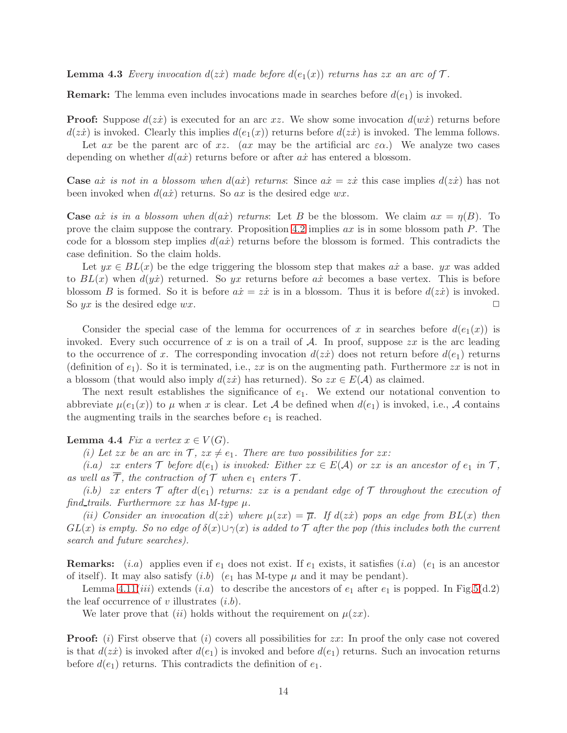**Lemma 4.3** *Every invocation*  $d(z\dot{x})$  *made before*  $d(e_1(x))$  *returns has* zx *an arc of*  $\mathcal{T}$ *.* 

**Remark:** The lemma even includes invocations made in searches before  $d(e_1)$  is invoked.

**Proof:** Suppose  $d(zz)$  is executed for an arc xz. We show some invocation  $d(w\dot{x})$  returns before  $d(zz)$  is invoked. Clearly this implies  $d(e_1(x))$  returns before  $d(zz)$  is invoked. The lemma follows.

Let ax be the parent arc of xz. (ax may be the artificial arc  $\varepsilon \alpha$ .) We analyze two cases depending on whether  $d(a\dot{x})$  returns before or after  $a\dot{x}$  has entered a blossom.

**Case** ax is not in a blossom when  $d(ax)$  returns: Since  $ax = zx$  this case implies  $d(zx)$  has not been invoked when  $d(a\dot{x})$  returns. So ax is the desired edge  $wx$ .

**Case**  $a\dot{x}$  *is in a blossom when*  $d(a\dot{x})$  *returns*: Let B be the blossom. We claim  $ax = \eta(B)$ . To prove the claim suppose the contrary. Proposition [4.2](#page-12-2) implies  $ax$  is in some blossom path  $P$ . The code for a blossom step implies  $d(ax)$  returns before the blossom is formed. This contradicts the case definition. So the claim holds.

Let  $yx \in BL(x)$  be the edge triggering the blossom step that makes ax a base. yx was added to  $BL(x)$  when  $d(y\dot{x})$  returned. So yx returns before ax becomes a base vertex. This is before blossom B is formed. So it is before  $a\dot{x} = z\dot{x}$  is in a blossom. Thus it is before  $d(z\dot{x})$  is invoked. So yx is the desired edge wx.  $\Box$ 

Consider the special case of the lemma for occurrences of x in searches before  $d(e_1(x))$  is invoked. Every such occurrence of x is on a trail of  $A$ . In proof, suppose  $zx$  is the arc leading to the occurrence of x. The corresponding invocation  $d(zz)$  does not return before  $d(e_1)$  returns (definition of  $e_1$ ). So it is terminated, i.e.,  $zx$  is on the augmenting path. Furthermore  $zx$  is not in a blossom (that would also imply  $d(zx)$  has returned). So  $zx \in E(\mathcal{A})$  as claimed.

The next result establishes the significance of  $e_1$ . We extend our notational convention to abbreviate  $\mu(e_1(x))$  to  $\mu$  when x is clear. Let A be defined when  $d(e_1)$  is invoked, i.e., A contains the augmenting trails in the searches before  $e_1$  is reached.

### <span id="page-13-0"></span>**Lemma 4.4** *Fix a vertex*  $x \in V(G)$ *.*

*(i)* Let zx be an arc in  $\mathcal{T}$ ,  $zx \neq e_1$ . There are two possibilities for zx:

*(i.a)* zx enters  $\mathcal T$  *before*  $d(e_1)$  *is invoked: Either*  $zx \in E(\mathcal{A})$  *or*  $zx$  *is an ancestor of*  $e_1$  *in*  $\mathcal T$ *,* as well as  $\overline{T}$ , the contraction of  $\overline{T}$  when  $e_1$  enters  $\overline{T}$ .

 $(i.b)$  zx enters  $\mathcal T$  after  $d(e_1)$  returns: zx is a pendant edge of  $\mathcal T$  throughout the execution of *find trails. Furthermore* zx *has M-type* µ*.*

 $(iii)$  Consider an invocation  $d(zi)$  where  $\mu(zx) = \overline{\mu}$ . If  $d(zi)$  pops an edge from  $BL(x)$  then  $GL(x)$  *is empty. So no edge of*  $\delta(x) \cup \gamma(x)$  *is added to* T *after the pop (this includes both the current search and future searches).*

**Remarks:** (*i.a*) applies even if  $e_1$  does not exist. If  $e_1$  exists, it satisfies (*i.a*) ( $e_1$  is an ancestor of itself). It may also satisfy  $(i.b)$   $(e_1$  has M-type  $\mu$  and it may be pendant).

Lemma [4.11\(](#page-20-0)*iii*) extends (*i.a*) to describe the ancestors of  $e_1$  after  $e_1$  is popped. In Fig[.5\(](#page-10-0)d.2) the leaf occurrence of v illustrates  $(i.b)$ .

We later prove that (ii) holds without the requirement on  $\mu(zx)$ .

**Proof:** (i) First observe that (i) covers all possibilities for  $zx$ : In proof the only case not covered is that  $d(zz)$  is invoked after  $d(e_1)$  is invoked and before  $d(e_1)$  returns. Such an invocation returns before  $d(e_1)$  returns. This contradicts the definition of  $e_1$ .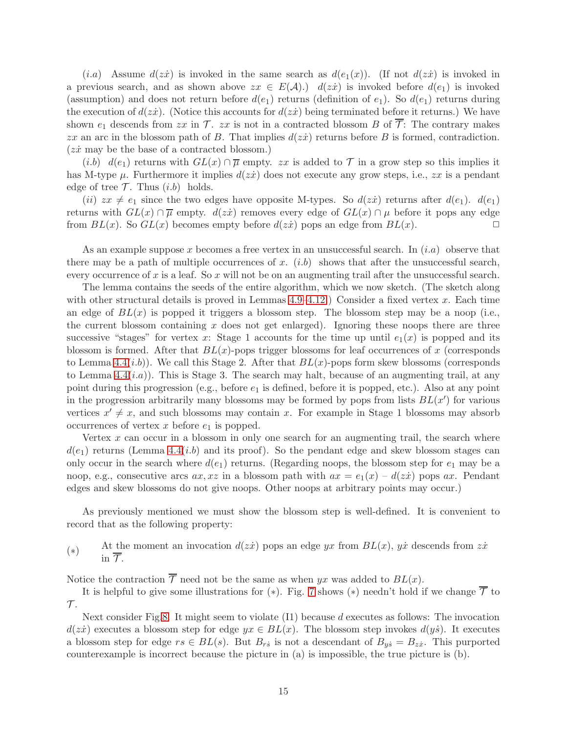$(i.a)$  Assume  $d(zz)$  is invoked in the same search as  $d(e_1(x))$ . (If not  $d(zz)$  is invoked in a previous search, and as shown above  $zx \in E(\mathcal{A})$ .)  $d(zx)$  is invoked before  $d(e_1)$  is invoked (assumption) and does not return before  $d(e_1)$  returns (definition of  $e_1$ ). So  $d(e_1)$  returns during the execution of  $d(zz)$ . (Notice this accounts for  $d(zz)$  being terminated before it returns.) We have shown  $e_1$  descends from zx in  $\mathcal T$ . zx is not in a contracted blossom B of  $\overline{\mathcal T}$ : The contrary makes zx an arc in the blossom path of B. That implies  $d(zi)$  returns before B is formed, contradiction.  $(zx \text{ may be the base of a contracted blossom.})$ 

(*i.b*)  $d(e_1)$  returns with  $GL(x) \cap \overline{\mu}$  empty. zx is added to  $\mathcal T$  in a grow step so this implies it has M-type  $\mu$ . Furthermore it implies  $d(z\dot{x})$  does not execute any grow steps, i.e.,  $zx$  is a pendant edge of tree  $\mathcal{T}$ . Thus  $(i.b)$  holds.

(ii)  $zx \neq e_1$  since the two edges have opposite M-types. So  $d(zx)$  returns after  $d(e_1)$ .  $d(e_1)$ returns with  $GL(x) \cap \overline{\mu}$  empty.  $d(zz)$  removes every edge of  $GL(x) \cap \mu$  before it pops any edge<br>from  $BL(x)$ . So  $GL(x)$  becomes empty before  $d(zx)$  pops an edge from  $BL(x)$ . from  $BL(x)$ . So  $GL(x)$  becomes empty before  $d(z\dot{x})$  pops an edge from  $BL(x)$ .

As an example suppose x becomes a free vertex in an unsuccessful search. In  $(i.a)$  observe that there may be a path of multiple occurrences of x.  $(i.b)$  shows that after the unsuccessful search, every occurrence of x is a leaf. So x will not be on an augmenting trail after the unsuccessful search.

The lemma contains the seeds of the entire algorithm, which we now sketch. (The sketch along with other structural details is proved in Lemmas  $4.9-4.12$ .) Consider a fixed vertex x. Each time an edge of  $BL(x)$  is popped it triggers a blossom step. The blossom step may be a noop (i.e., the current blossom containing  $x$  does not get enlarged). Ignoring these noops there are three successive "stages" for vertex x: Stage 1 accounts for the time up until  $e_1(x)$  is popped and its blossom is formed. After that  $BL(x)$ -pops trigger blossoms for leaf occurrences of x (corresponds to Lemma [4.4\(](#page-13-0)*i.b*)). We call this Stage 2. After that  $BL(x)$ -pops form skew blossoms (corresponds to Lemma  $4.4(i.a)$ ). This is Stage 3. The search may halt, because of an augmenting trail, at any point during this progression (e.g., before  $e_1$  is defined, before it is popped, etc.). Also at any point in the progression arbitrarily many blossoms may be formed by pops from lists  $BL(x')$  for various vertices  $x' \neq x$ , and such blossoms may contain x. For example in Stage 1 blossoms may absorb occurrences of vertex  $x$  before  $e_1$  is popped.

Vertex  $x$  can occur in a blossom in only one search for an augmenting trail, the search where  $d(e_1)$  returns (Lemma [4.4\(](#page-13-0)*i.b*) and its proof). So the pendant edge and skew blossom stages can only occur in the search where  $d(e_1)$  returns. (Regarding noops, the blossom step for  $e_1$  may be a noop, e.g., consecutive arcs  $ax, xz$  in a blossom path with  $ax = e_1(x) - d(z\dot{x})$  pops  $ax$ . Pendant edges and skew blossoms do not give noops. Other noops at arbitrary points may occur.)

As previously mentioned we must show the blossom step is well-defined. It is convenient to record that as the following property:

(∗) At the moment an invocation  $d(z\dot{x})$  pops an edge yx from  $BL(x)$ , yx descends from  $z\dot{x}$ in  $\overline{\tau}$ .

Notice the contraction  $\overline{\mathcal{T}}$  need not be the same as when yx was added to  $BL(x)$ .

It is helpful to give some illustrations for (\*). Fig. [7](#page-15-0) shows (\*) needn't hold if we change  $\overline{\mathcal{T}}$  to  $\mathcal{T}.$ 

Next consider Fig[.8.](#page-16-0) It might seem to violate  $(11)$  because d executes as follows: The invocation  $d(zi)$  executes a blossom step for edge  $yx \in BL(x)$ . The blossom step invokes  $d(y\dot{s})$ . It executes a blossom step for edge  $rs \in BL(s)$ . But  $B_{rs}$  is not a descendant of  $B_{ys} = B_{zx}$ . This purported counterexample is incorrect because the picture in (a) is impossible, the true picture is (b).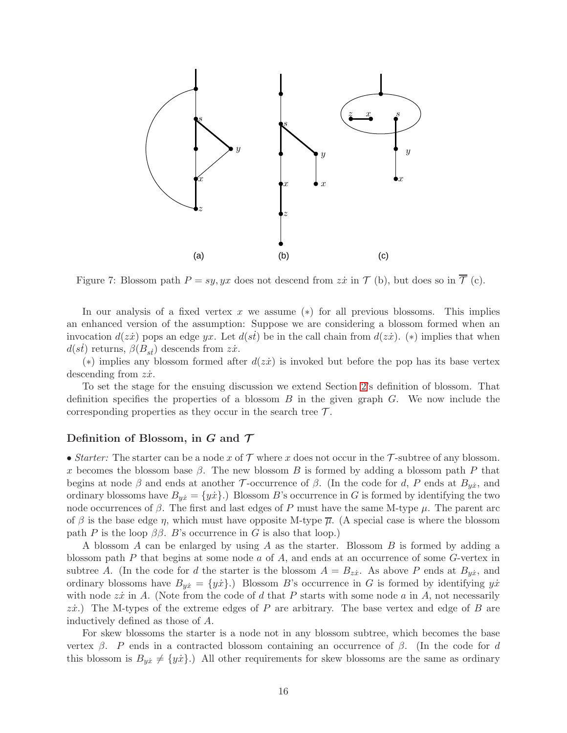

<span id="page-15-0"></span>Figure 7: Blossom path  $P = sy, yx$  does not descend from  $z\dot{x}$  in  $\mathcal{T}$  (b), but does so in  $\overline{\mathcal{T}}$  (c).

In our analysis of a fixed vertex x we assume  $(*)$  for all previous blossoms. This implies an enhanced version of the assumption: Suppose we are considering a blossom formed when an invocation  $d(zi)$  pops an edge yx. Let  $d(st)$  be in the call chain from  $d(zi)$ . (\*) implies that when  $d(st)$  returns,  $\beta(B_{st})$  descends from  $z\dot{x}$ .

(\*) implies any blossom formed after  $d(zx)$  is invoked but before the pop has its base vertex descending from  $z\dot{x}$ .

To set the stage for the ensuing discussion we extend Section [2'](#page-3-0)s definition of blossom. That definition specifies the properties of a blossom  $B$  in the given graph  $G$ . We now include the corresponding properties as they occur in the search tree  $\mathcal{T}$ .

### Definition of Blossom, in  $G$  and  $\mathcal T$

• *Starter:* The starter can be a node x of  $\mathcal T$  where x does not occur in the  $\mathcal T$ -subtree of any blossom. x becomes the blossom base  $\beta$ . The new blossom B is formed by adding a blossom path P that begins at node  $\beta$  and ends at another T-occurrence of  $\beta$ . (In the code for d, P ends at  $B_{y\dot{x}}$ , and ordinary blossoms have  $B_{yx} = \{yx\}$ .) Blossom B's occurrence in G is formed by identifying the two node occurrences of  $\beta$ . The first and last edges of P must have the same M-type  $\mu$ . The parent arc of  $\beta$  is the base edge  $\eta$ , which must have opposite M-type  $\overline{\mu}$ . (A special case is where the blossom path P is the loop  $\beta\beta$ . B's occurrence in G is also that loop.)

A blossom A can be enlarged by using A as the starter. Blossom B is formed by adding a blossom path  $P$  that begins at some node  $a$  of  $A$ , and ends at an occurrence of some  $G$ -vertex in subtree A. (In the code for d the starter is the blossom  $A = B_{zx}$ . As above P ends at  $B_{yx}$ , and ordinary blossoms have  $B_{yx} = \{y\dot{x}\}\.$  Blossom B's occurrence in G is formed by identifying  $y\dot{x}$ with node  $z\dot{x}$  in A. (Note from the code of d that P starts with some node a in A, not necessarily  $z\dot{x}$ .) The M-types of the extreme edges of P are arbitrary. The base vertex and edge of B are inductively defined as those of A.

For skew blossoms the starter is a node not in any blossom subtree, which becomes the base vertex  $\beta$ . P ends in a contracted blossom containing an occurrence of  $\beta$ . (In the code for d this blossom is  $B_{y\dot{x}} \neq \{y\dot{x}\}.$  All other requirements for skew blossoms are the same as ordinary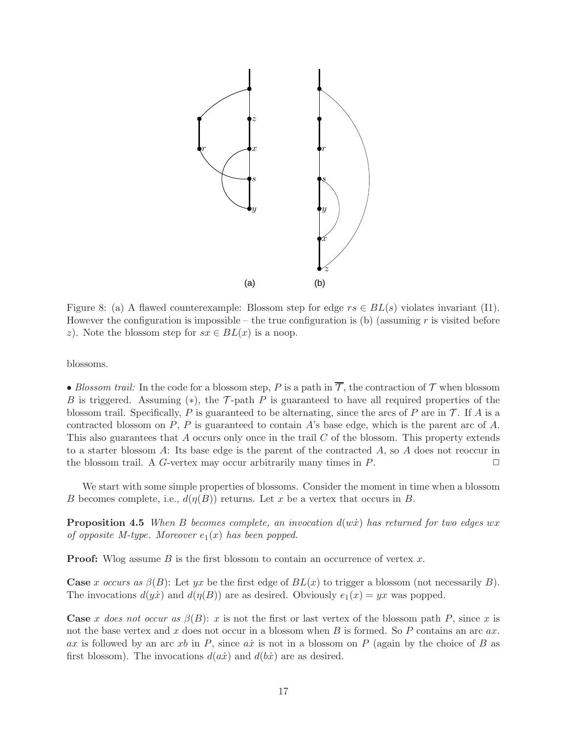

<span id="page-16-0"></span>Figure 8: (a) A flawed counterexample: Blossom step for edge  $rs \in BL(s)$  violates invariant (I1). However the configuration is impossible – the true configuration is (b) (assuming  $r$  is visited before z). Note the blossom step for  $sx \in BL(x)$  is a noop.

blossoms.

• *Blossom trail:* In the code for a blossom step, P is a path in  $\overline{\mathcal{T}}$ , the contraction of  $\mathcal{T}$  when blossom B is triggered. Assuming (\*), the  $\mathcal T$ -path P is guaranteed to have all required properties of the blossom trail. Specifically, P is guaranteed to be alternating, since the arcs of P are in  $\mathcal T$ . If A is a contracted blossom on  $P$ ,  $P$  is guaranteed to contain  $A$ 's base edge, which is the parent arc of  $A$ . This also guarantees that A occurs only once in the trail C of the blossom. This property extends to a starter blossom  $A$ : Its base edge is the parent of the contracted  $A$ , so  $A$  does not reoccur in the blossom trail. A G-vertex may occur arbitrarily many times in  $P$ .

<span id="page-16-1"></span>We start with some simple properties of blossoms. Consider the moment in time when a blossom B becomes complete, i.e.,  $d(\eta(B))$  returns. Let x be a vertex that occurs in B.

**Proposition 4.5** *When B becomes complete, an invocation*  $d(w\dot{x})$  *has returned for two edges* wx *of opposite M-type. Moreover*  $e_1(x)$  *has been popped.* 

**Proof:** Wlog assume  $B$  is the first blossom to contain an occurrence of vertex  $x$ .

**Case** x occurs as  $\beta(B)$ : Let yx be the first edge of  $BL(x)$  to trigger a blossom (not necessarily B). The invocations  $d(y\dot{x})$  and  $d(\eta(B))$  are as desired. Obviously  $e_1(x) = yx$  was popped.

**Case** x does not occur as  $\beta(B)$ : x is not the first or last vertex of the blossom path P, since x is not the base vertex and x does not occur in a blossom when  $B$  is formed. So  $P$  contains an arc  $ax$ . ax is followed by an arc xb in P, since ax is not in a blossom on P (again by the choice of B as first blossom). The invocations  $d(a\dot{x})$  and  $d(b\dot{x})$  are as desired.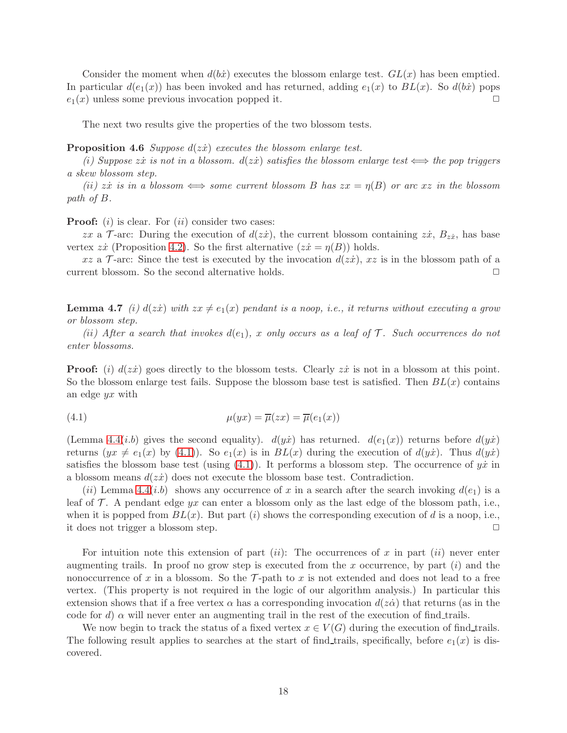Consider the moment when  $d(b\dot{x})$  executes the blossom enlarge test.  $GL(x)$  has been emptied. In particular  $d(e_1(x))$  has been invoked and has returned, adding  $e_1(x)$  to  $BL(x)$ . So  $d(b\dot{x})$  pops  $e_1(x)$  unless some previous invocation popped it.

<span id="page-17-3"></span>The next two results give the properties of the two blossom tests.

Proposition 4.6 *Suppose*  $d(zx)$  *executes the blossom enlarge test.* 

 $(i)$  Suppose zx *is not in a blossom.*  $d(zx)$  *satisfies the blossom enlarge test*  $\iff$  *the pop triggers a skew blossom step.*

 $(iii)$  zx *is in a blossom*  $\iff$  *some current blossom B has*  $zx = \eta(B)$  *or arc* x *z in the blossom path of* B*.*

**Proof:** (i) is clear. For (ii) consider two cases:

zx a  $\mathcal{T}$ -arc: During the execution of  $d(z\dot{x})$ , the current blossom containing  $z\dot{x}$ ,  $B_{z\dot{x}}$ , has base vertex  $z\dot{x}$  (Proposition [4.2\)](#page-12-2). So the first alternative  $(z\dot{x} = \eta(B))$  holds.

<span id="page-17-1"></span>xz a T-arc: Since the test is executed by the invocation  $d(zi)$ , xz is in the blossom path of a<br>rent blossom. So the second alternative holds. current blossom. So the second alternative holds.

**Lemma 4.7** *(i)*  $d(zx)$  *with*  $zx \neq e_1(x)$  *pendant is a noop, i.e., it returns without executing a grow or blossom step.*

 $(iii)$  After a search that invokes  $d(e_1)$ , x only occurs as a leaf of  $\mathcal T$ . Such occurrences do not *enter blossoms.*

**Proof:** (i)  $d(zx)$  goes directly to the blossom tests. Clearly  $zx$  is not in a blossom at this point. So the blossom enlarge test fails. Suppose the blossom base test is satisfied. Then  $BL(x)$  contains an edge yx with

<span id="page-17-2"></span>(4.1) 
$$
\mu(yx) = \overline{\mu}(zx) = \overline{\mu}(e_1(x))
$$

(Lemma [4.4\(](#page-13-0)*i.b*) gives the second equality).  $d(y\dot{x})$  has returned.  $d(e_1(x))$  returns before  $d(y\dot{x})$ returns  $(yx \neq e_1(x)$  by [\(4.1\)](#page-17-2)). So  $e_1(x)$  is in  $BL(x)$  during the execution of  $d(y\dot{x})$ . Thus  $d(y\dot{x})$ satisfies the blossom base test (using  $(4.1)$ ). It performs a blossom step. The occurrence of  $y\dot{x}$  in a blossom means  $d(z\dot{x})$  does not execute the blossom base test. Contradiction.

(ii) Lemma [4.4\(](#page-13-0)i.b) shows any occurrence of x in a search after the search invoking  $d(e_1)$  is a leaf of  $\mathcal T$ . A pendant edge yx can enter a blossom only as the last edge of the blossom path, i.e., when it is popped from  $BL(x)$ . But part (i) shows the corresponding execution of d is a noop, i.e., it does not trigger a blossom step.  $\Box$ 

For intuition note this extension of part  $(ii)$ : The occurrences of x in part  $(ii)$  never enter augmenting trails. In proof no grow step is executed from the x occurrence, by part  $(i)$  and the nonoccurrence of x in a blossom. So the  $\mathcal{T}$ -path to x is not extended and does not lead to a free vertex. (This property is not required in the logic of our algorithm analysis.) In particular this extension shows that if a free vertex  $\alpha$  has a corresponding invocation  $d(z\dot{\alpha})$  that returns (as in the code for d)  $\alpha$  will never enter an augmenting trail in the rest of the execution of find trails.

<span id="page-17-0"></span>We now begin to track the status of a fixed vertex  $x \in V(G)$  during the execution of find trails. The following result applies to searches at the start of find trails, specifically, before  $e_1(x)$  is discovered.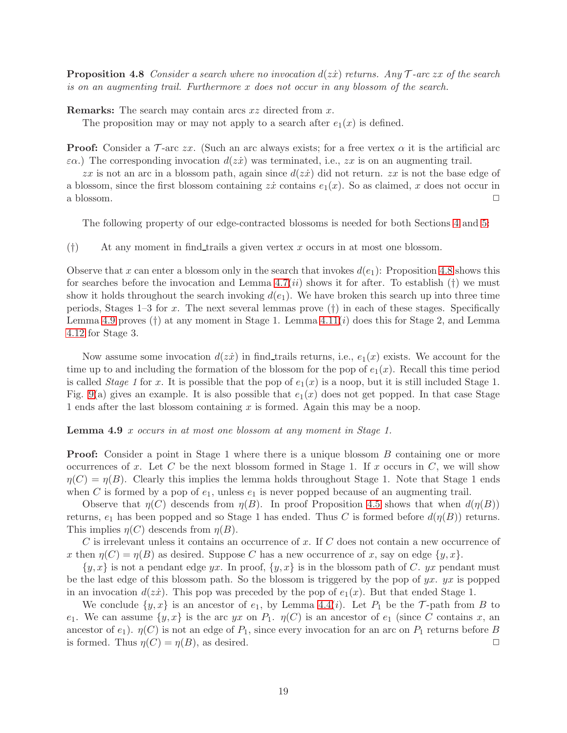**Proposition 4.8** *Consider a search where no invocation*  $d(z\dot{x})$  *returns. Any*  $\mathcal{T}$ -arc zx of the search *is on an augmenting trail. Furthermore* x *does not occur in any blossom of the search.*

Remarks: The search may contain arcs xz directed from x.

The proposition may or may not apply to a search after  $e_1(x)$  is defined.

**Proof:** Consider a  $\mathcal{T}$ -arc zx. (Such an arc always exists; for a free vertex  $\alpha$  it is the artificial arc  $\varepsilon \alpha$ .) The corresponding invocation  $d(z\dot{x})$  was terminated, i.e.,  $zx$  is on an augmenting trail.

zx is not an arc in a blossom path, again since  $d(zi)$  did not return.  $zx$  is not the base edge of a blossom, since the first blossom containing  $z\dot{x}$  contains  $e_1(x)$ . So as claimed, x does not occur in a blossom.  $\Box$ 

The following property of our edge-contracted blossoms is needed for both Sections [4](#page-11-0) and [5:](#page-23-0)

 $(†)$  At any moment in find trails a given vertex x occurs in at most one blossom.

Observe that x can enter a blossom only in the search that invokes  $d(e_1)$ : Proposition [4.8](#page-17-0) shows this for searches before the invocation and Lemma  $4.7(ii)$  shows it for after. To establish (†) we must show it holds throughout the search invoking  $d(e_1)$ . We have broken this search up into three time periods, Stages  $1-3$  for x. The next several lemmas prove  $(†)$  in each of these stages. Specifically Lemma [4.9](#page-18-0) proves  $(\dagger)$  at any moment in Stage 1. Lemma 4.11 $(i)$  does this for Stage 2, and Lemma [4.12](#page-22-0) for Stage 3.

Now assume some invocation  $d(zx)$  in find trails returns, i.e.,  $e_1(x)$  exists. We account for the time up to and including the formation of the blossom for the pop of  $e_1(x)$ . Recall this time period is called *Stage 1* for x. It is possible that the pop of  $e_1(x)$  is a noop, but it is still included Stage 1. Fig. [9\(](#page-19-0)a) gives an example. It is also possible that  $e_1(x)$  does not get popped. In that case Stage 1 ends after the last blossom containing  $x$  is formed. Again this may be a noop.

<span id="page-18-0"></span>Lemma 4.9 x *occurs in at most one blossom at any moment in Stage 1.*

**Proof:** Consider a point in Stage 1 where there is a unique blossom B containing one or more occurrences of x. Let C be the next blossom formed in Stage 1. If x occurs in C, we will show  $\eta(C) = \eta(B)$ . Clearly this implies the lemma holds throughout Stage 1. Note that Stage 1 ends when C is formed by a pop of  $e_1$ , unless  $e_1$  is never popped because of an augmenting trail.

Observe that  $\eta(C)$  descends from  $\eta(B)$ . In proof Proposition [4.5](#page-16-1) shows that when  $d(\eta(B))$ returns,  $e_1$  has been popped and so Stage 1 has ended. Thus C is formed before  $d(\eta(B))$  returns. This implies  $\eta(C)$  descends from  $\eta(B)$ .

C is irrelevant unless it contains an occurrence of x. If C does not contain a new occurrence of x then  $\eta(C) = \eta(B)$  as desired. Suppose C has a new occurrence of x, say on edge  $\{y, x\}$ .

 $\{y, x\}$  is not a pendant edge yx. In proof,  $\{y, x\}$  is in the blossom path of C. yx pendant must be the last edge of this blossom path. So the blossom is triggered by the pop of  $yx$ .  $yx$  is popped in an invocation  $d(z\dot{x})$ . This pop was preceded by the pop of  $e_1(x)$ . But that ended Stage 1.

We conclude  $\{y, x\}$  is an ancestor of  $e_1$ , by Lemma [4.4\(](#page-13-0)*i*). Let  $P_1$  be the  $\mathcal{T}$ -path from B to e<sub>1</sub>. We can assume  $\{y, x\}$  is the arc yx on  $P_1$ .  $\eta(C)$  is an ancestor of  $e_1$  (since C contains x, an ancestor of  $e_1$ ).  $\eta(C)$  is not an edge of  $P_1$ , since every invocation for an arc on  $P_1$  returns before B is formed. Thus  $\eta(C) = \eta(B)$ , as desired.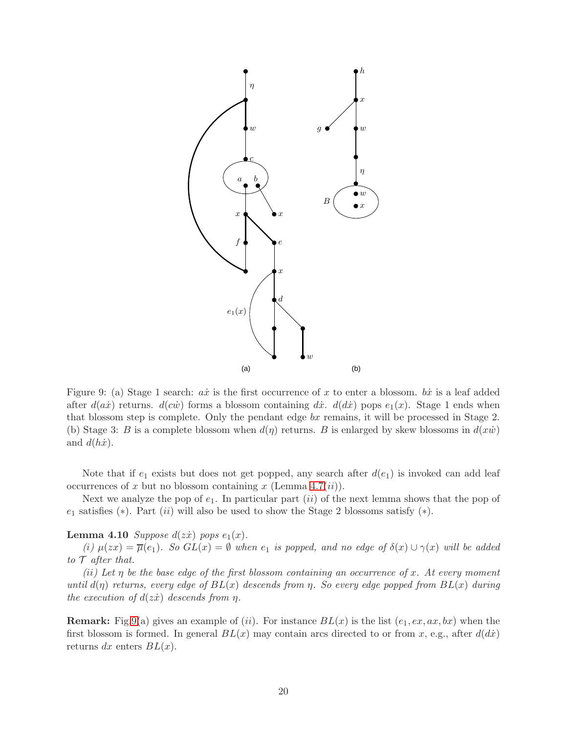

<span id="page-19-0"></span>Figure 9: (a) Stage 1 search:  $a\dot{x}$  is the first occurrence of x to enter a blossom.  $b\dot{x}$  is a leaf added after  $d(ax)$  returns.  $d(c\dot{w})$  forms a blossom containing dx;  $d(dx)$  pops  $e_1(x)$ . Stage 1 ends when that blossom step is complete. Only the pendant edge  $bx$  remains, it will be processed in Stage 2. (b) Stage 3: B is a complete blossom when  $d(\eta)$  returns. B is enlarged by skew blossoms in  $d(x\dot{w})$ and  $d(h\dot{x})$ .

Note that if  $e_1$  exists but does not get popped, any search after  $d(e_1)$  is invoked can add leaf occurrences of x but no blossom containing x (Lemma [4.7\(](#page-17-1)ii)).

<span id="page-19-1"></span>Next we analyze the pop of  $e_1$ . In particular part (ii) of the next lemma shows that the pop of  $e_1$  satisfies (\*). Part (ii) will also be used to show the Stage 2 blossoms satisfy (\*).

### **Lemma 4.10** *Suppose*  $d( z \dot{x} )$  *pops*  $e_1(x)$ *.*

*(i)*  $\mu(zx) = \overline{\mu}(e_1)$ *. So*  $GL(x) = \emptyset$  *when*  $e_1$  *is popped, and no edge of*  $\delta(x) \cup \gamma(x)$  *will be added to* T *after that.*

*(*ii*) Let* η *be the base edge of the first blossom containing an occurrence of* x*. At every moment until*  $d(\eta)$  *returns, every edge of*  $BL(x)$  *descends from*  $\eta$ *. So every edge popped from*  $BL(x)$  *during the execution of*  $d( z\dot{x})$  *descends from η.* 

**Remark:** Fig[.9\(](#page-19-0)a) gives an example of (ii). For instance  $BL(x)$  is the list  $(e_1, ex, ax, bx)$  when the first blossom is formed. In general  $BL(x)$  may contain arcs directed to or from x, e.g., after  $d(dx)$ returns dx enters  $BL(x)$ .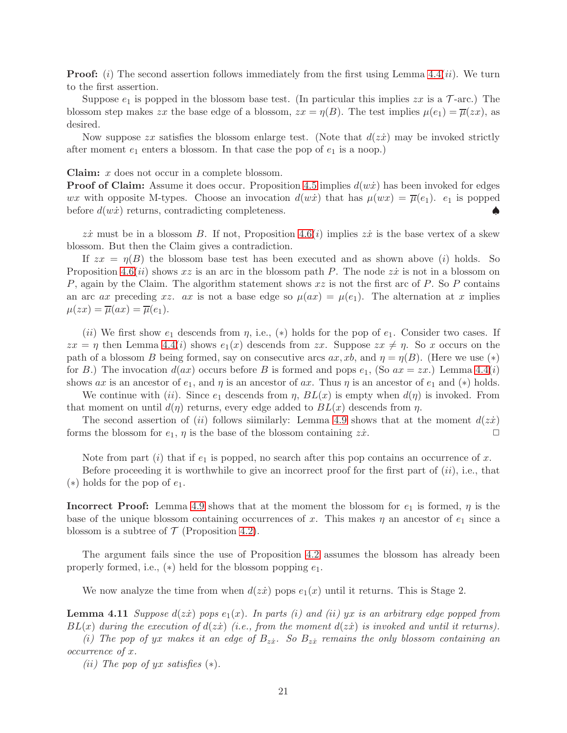**Proof:** (i) The second assertion follows immediately from the first using Lemma  $4.4(ii)$ . We turn to the first assertion.

Suppose  $e_1$  is popped in the blossom base test. (In particular this implies  $zx$  is a  $\mathcal{T}$ -arc.) The blossom step makes zx the base edge of a blossom,  $zx = \eta(B)$ . The test implies  $\mu(e_1) = \overline{\mu}(zx)$ , as desired.

Now suppose  $zx$  satisfies the blossom enlarge test. (Note that  $d(zx)$  may be invoked strictly after moment  $e_1$  enters a blossom. In that case the pop of  $e_1$  is a noop.)

Claim: x does not occur in a complete blossom.

**Proof of Claim:** Assume it does occur. Proposition [4.5](#page-16-1) implies  $d(w\dot{x})$  has been invoked for edges wx with opposite M-types. Choose an invocation  $d(w\dot{x})$  that has  $\mu(wx) = \overline{\mu}(e_1)$ .  $e_1$  is popped before  $d(w\dot{x})$  returns, contradicting completeness.

zx must be in a blossom B. If not, Proposition [4.6\(](#page-17-3)i) implies zx is the base vertex of a skew blossom. But then the Claim gives a contradiction.

If  $zx = \eta(B)$  the blossom base test has been executed and as shown above (i) holds. So Proposition [4.6\(](#page-17-3)*ii*) shows xz is an arc in the blossom path P. The node zx is not in a blossom on P, again by the Claim. The algorithm statement shows  $xz$  is not the first arc of P. So P contains an arc ax preceding xz. ax is not a base edge so  $\mu(ax) = \mu(e_1)$ . The alternation at x implies  $\mu(zx) = \overline{\mu}(ax) = \overline{\mu}(e_1).$ 

(ii) We first show  $e_1$  descends from  $\eta$ , i.e., (\*) holds for the pop of  $e_1$ . Consider two cases. If  $zx = \eta$  then Lemma [4.4\(](#page-13-0)i) shows  $e_1(x)$  descends from  $zx$ . Suppose  $zx \neq \eta$ . So x occurs on the path of a blossom B being formed, say on consecutive arcs  $ax, xb$ , and  $\eta = \eta(B)$ . (Here we use  $(*)$ ) for B.) The invocation  $d(ax)$  occurs before B is formed and pops  $e_1$ , (So  $ax = zx$ .) Lemma [4.4\(](#page-13-0)*i*) shows ax is an ancestor of  $e_1$ , and  $\eta$  is an ancestor of ax. Thus  $\eta$  is an ancestor of  $e_1$  and  $(*)$  holds.

We continue with (ii). Since  $e_1$  descends from  $\eta$ ,  $BL(x)$  is empty when  $d(\eta)$  is invoked. From that moment on until  $d(\eta)$  returns, every edge added to  $BL(x)$  descends from  $\eta$ .

The second assertion of (ii) follows similarly: Lemma [4.9](#page-18-0) shows that at the moment  $d(z\dot{x})$ forms the blossom for  $e_1$ ,  $\eta$  is the base of the blossom containing  $z\dot{x}$ .

Note from part (i) that if  $e_1$  is popped, no search after this pop contains an occurrence of x.

Before proceeding it is worthwhile to give an incorrect proof for the first part of  $(ii)$ , i.e., that  $(*)$  holds for the pop of  $e_1$ .

**Incorrect Proof:** Lemma [4.9](#page-18-0) shows that at the moment the blossom for  $e_1$  is formed,  $\eta$  is the base of the unique blossom containing occurrences of x. This makes  $\eta$  an ancestor of  $e_1$  since a blossom is a subtree of  $\mathcal T$  (Proposition [4.2\)](#page-12-2).

The argument fails since the use of Proposition [4.2](#page-12-2) assumes the blossom has already been properly formed, i.e.,  $(*)$  held for the blossom popping  $e_1$ .

<span id="page-20-0"></span>We now analyze the time from when  $d(zt)$  pops  $e_1(x)$  until it returns. This is Stage 2.

**Lemma 4.11** *Suppose*  $d(zx)$  *pops*  $e_1(x)$ *. In parts (i) and (ii)* yx *is an arbitrary edge popped from*  $BL(x)$  during the execution of  $d(zz)$  (i.e., from the moment  $d(zz)$  is invoked and until it returns).

 $(i)$  The pop of yx makes it an edge of  $B_{z\dot{x}}$ . So  $B_{z\dot{x}}$  remains the only blossom containing an *occurrence of* x*.*

*(*ii*) The pop of* yx *satisfies* (∗)*.*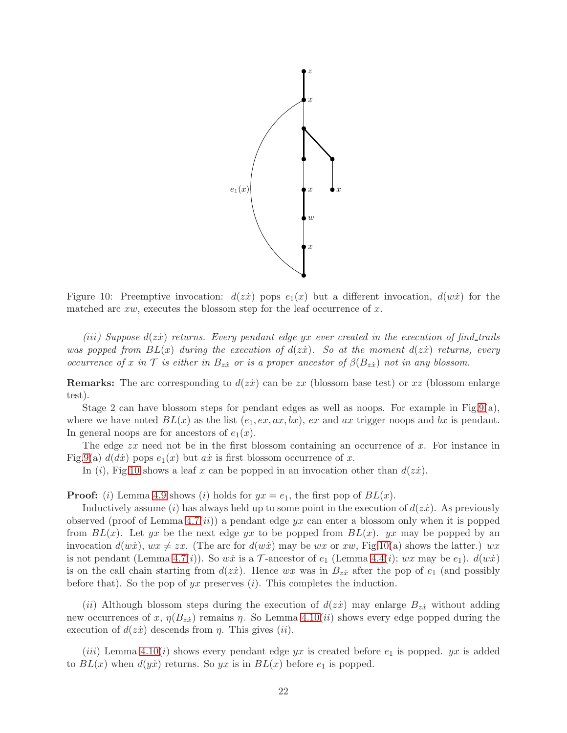

<span id="page-21-0"></span>Figure 10: Preemptive invocation:  $d(z\dot{x})$  pops  $e_1(x)$  but a different invocation,  $d(w\dot{x})$  for the matched arc  $xw$ , executes the blossom step for the leaf occurrence of  $x$ .

*(*iii*) Suppose* d(zx˙) *returns. Every pendant edge* yx *ever created in the execution of find trails was popped from*  $BL(x)$  *during the execution of*  $d(zz)$ *. So at the moment*  $d(zz)$  *returns, every occurrence of* x *in* T *is either in*  $B_{z\dot{x}}$  *or is a proper ancestor of*  $\beta(B_{z\dot{x}})$  *not in any blossom.* 

**Remarks:** The arc corresponding to  $d(zz)$  can be zx (blossom base test) or xz (blossom enlarge test).

Stage 2 can have blossom steps for pendant edges as well as noops. For example in Fig[.9\(](#page-19-0)a), where we have noted  $BL(x)$  as the list  $(e_1, ex, ax, bx)$ , ex and ax trigger noops and bx is pendant. In general noops are for ancestors of  $e_1(x)$ .

The edge  $zx$  need not be in the first blossom containing an occurrence of  $x$ . For instance in Fig[.9\(](#page-19-0)a)  $d(dx)$  pops  $e_1(x)$  but ax is first blossom occurrence of x.

In (i), Fig[.10](#page-21-0) shows a leaf x can be popped in an invocation other than  $d(z\dot{x})$ .

**Proof:** (i) Lemma [4.9](#page-18-0) shows (i) holds for  $yx = e_1$ , the first pop of  $BL(x)$ .

Inductively assume (i) has always held up to some point in the execution of  $d(z\dot{x})$ . As previously observed (proof of Lemma [4.7\(](#page-17-1)*ii*)) a pendant edge  $yx$  can enter a blossom only when it is popped from  $BL(x)$ . Let yx be the next edge yx to be popped from  $BL(x)$ . yx may be popped by an invocation  $d(w\dot{x})$ ,  $wx \neq zx$ . (The arc for  $d(w\dot{x})$  may be wx or xw, Fig[.10\(](#page-21-0)a) shows the latter.) wx is not pendant (Lemma [4.7\(](#page-17-1)i)). So wx is a  $\mathcal T$ -ancestor of  $e_1$  (Lemma [4.4\(](#page-13-0)i); wx may be  $e_1$ ).  $d(w\dot x)$ is on the call chain starting from  $d(z\dot{x})$ . Hence wx was in  $B_{z\dot{x}}$  after the pop of  $e_1$  (and possibly before that). So the pop of  $yx$  preserves  $(i)$ . This completes the induction.

(ii) Although blossom steps during the execution of  $d(zz)$  may enlarge  $B_{zz}$  without adding new occurrences of x,  $\eta(B_{zx})$  remains  $\eta$ . So Lemma [4.10\(](#page-19-1)*ii*) shows every edge popped during the execution of  $d(zx)$  descends from  $\eta$ . This gives (ii).

(*iii*) Lemma [4.10\(](#page-19-1)*i*) shows every pendant edge yx is created before  $e_1$  is popped. yx is added to  $BL(x)$  when  $d(y\dot{x})$  returns. So yx is in  $BL(x)$  before  $e_1$  is popped.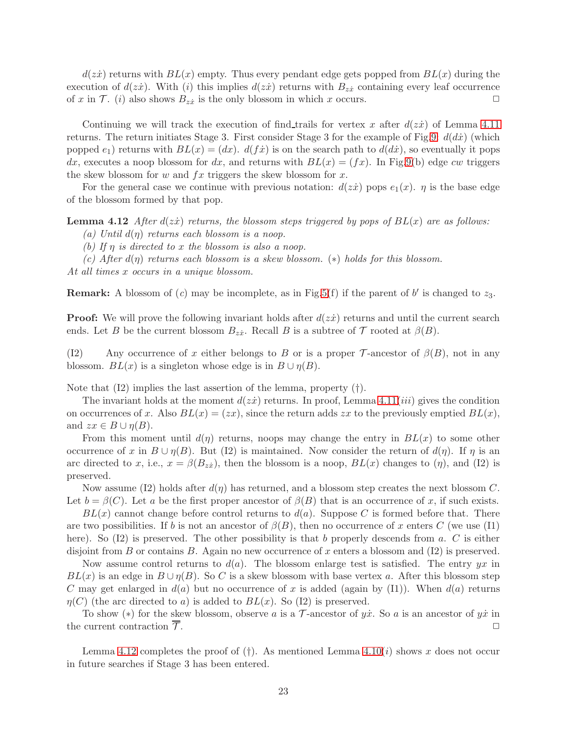$d(zx)$  returns with  $BL(x)$  empty. Thus every pendant edge gets popped from  $BL(x)$  during the execution of  $d(zz)$ . With (i) this implies  $d(zz)$  returns with  $B_{zz}$  containing every leaf occurrence of x in  $\mathcal{T}$ . (i) also shows  $B_{zx}$  is the only blossom in which x occurs.

Continuing we will track the execution of find trails for vertex x after  $d(zz)$  of Lemma [4.11](#page-20-0) returns. The return initiates Stage 3. First consider Stage 3 for the example of Fig[.9:](#page-19-0)  $d(dx)$  (which popped  $e_1$ ) returns with  $BL(x) = (dx)$ .  $d(f\dot{x})$  is on the search path to  $d(d\dot{x})$ , so eventually it pops dx, executes a noop blossom for dx, and returns with  $BL(x) = (fx)$ . In Fig[.9\(](#page-19-0)b) edge cw triggers the skew blossom for w and  $fx$  triggers the skew blossom for x.

<span id="page-22-0"></span>For the general case we continue with previous notation:  $d(zi)$  pops  $e_1(x)$ .  $\eta$  is the base edge of the blossom formed by that pop.

**Lemma 4.12** *After*  $d(zz)$  *returns, the blossom steps triggered by pops of*  $BL(x)$  *are as follows:* 

*(a) Until* d(η) *returns each blossom is a noop.*

*(b) If* η *is directed to* x *the blossom is also a noop.*

*(c) After* d(η) *returns each blossom is a skew blossom.* (∗) *holds for this blossom.*

*At all times* x *occurs in a unique blossom.*

**Remark:** A blossom of  $(c)$  may be incomplete, as in Fig.5 $(f)$  if the parent of b' is changed to  $z_3$ .

**Proof:** We will prove the following invariant holds after  $d(zz)$  returns and until the current search ends. Let B be the current blossom  $B_{z\dot{x}}$ . Recall B is a subtree of  $\mathcal T$  rooted at  $\beta(B)$ .

(I2) Any occurrence of x either belongs to B or is a proper T-ancestor of  $\beta(B)$ , not in any blossom.  $BL(x)$  is a singleton whose edge is in  $B \cup \eta(B)$ .

Note that  $(12)$  implies the last assertion of the lemma, property  $(†)$ .

The invariant holds at the moment  $d(zz)$  returns. In proof, Lemma [4.11\(](#page-20-0)*iii*) gives the condition on occurrences of x. Also  $BL(x) = (zx)$ , since the return adds zx to the previously emptied  $BL(x)$ , and  $zx \in B \cup \eta(B)$ .

From this moment until  $d(\eta)$  returns, noops may change the entry in  $BL(x)$  to some other occurrence of x in  $B \cup \eta(B)$ . But (I2) is maintained. Now consider the return of  $d(\eta)$ . If  $\eta$  is an arc directed to x, i.e.,  $x = \beta(B_{zx})$ , then the blossom is a noop,  $BL(x)$  changes to  $(\eta)$ , and (I2) is preserved.

Now assume (I2) holds after  $d(\eta)$  has returned, and a blossom step creates the next blossom C. Let  $b = \beta(C)$ . Let a be the first proper ancestor of  $\beta(B)$  that is an occurrence of x, if such exists.

 $BL(x)$  cannot change before control returns to  $d(a)$ . Suppose C is formed before that. There are two possibilities. If b is not an ancestor of  $\beta(B)$ , then no occurrence of x enters C (we use (I1) here). So  $(12)$  is preserved. The other possibility is that b properly descends from a. C is either disjoint from B or contains B. Again no new occurrence of x enters a blossom and  $(12)$  is preserved.

Now assume control returns to  $d(a)$ . The blossom enlarge test is satisfied. The entry yx in  $BL(x)$  is an edge in  $B \cup \eta(B)$ . So C is a skew blossom with base vertex a. After this blossom step C may get enlarged in  $d(a)$  but no occurrence of x is added (again by (I1)). When  $d(a)$  returns  $\eta(C)$  (the arc directed to a) is added to  $BL(x)$ . So (I2) is preserved.

To show (\*) for the skew blossom, observe a is a  $\mathcal T$ -ancestor of  $y\dot x$ . So a is an ancestor of  $y\dot x$  in current contraction  $\overline{\mathcal T}$ the current contraction  $\overline{\mathcal{T}}$ .

Lemma [4.12](#page-22-0) completes the proof of  $(\dagger)$ . As mentioned Lemma [4.10\(](#page-19-1)*i*) shows x does not occur in future searches if Stage 3 has been entered.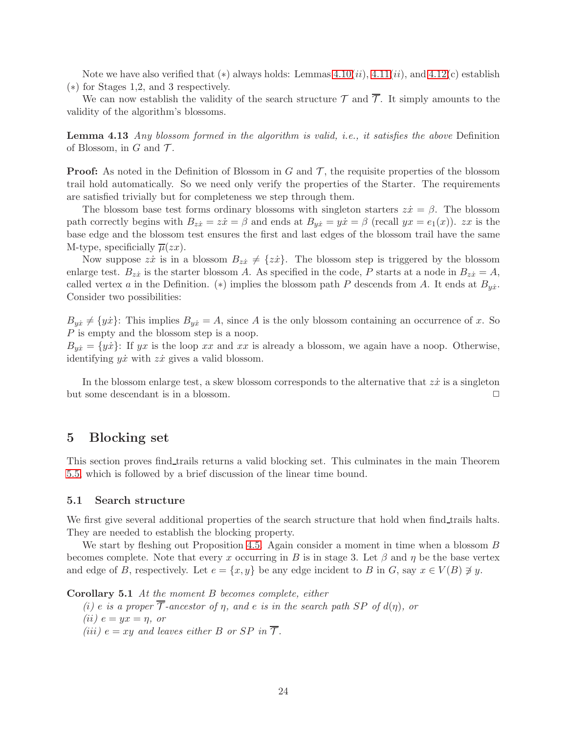Note we have also verified that  $(*)$  always holds: Lemmas 4.10 $(ii)$ , 4.11 $(ii)$ , and 4.12 $(c)$  establish (∗) for Stages 1,2, and 3 respectively.

<span id="page-23-2"></span>We can now establish the validity of the search structure  $\mathcal T$  and  $\overline{\mathcal T}$ . It simply amounts to the validity of the algorithm's blossoms.

Lemma 4.13 *Any blossom formed in the algorithm is valid, i.e., it satisfies the above* Definition of Blossom, in  $G$  and  $\mathcal T$ *.* 

**Proof:** As noted in the Definition of Blossom in  $G$  and  $\mathcal{T}$ , the requisite properties of the blossom trail hold automatically. So we need only verify the properties of the Starter. The requirements are satisfied trivially but for completeness we step through them.

The blossom base test forms ordinary blossoms with singleton starters  $z\dot{x} = \beta$ . The blossom path correctly begins with  $B_{zx} = z\dot{x} = \beta$  and ends at  $B_{yx} = y\dot{x} = \beta$  (recall  $yx = e_1(x)$ ).  $zx$  is the base edge and the blossom test ensures the first and last edges of the blossom trail have the same M-type, specificially  $\overline{\mu}(zx)$ .

Now suppose  $z\dot{x}$  is in a blossom  $B_{z\dot{x}} \neq \{z\dot{x}\}\.$  The blossom step is triggered by the blossom enlarge test.  $B_{z\dot{x}}$  is the starter blossom A. As specified in the code, P starts at a node in  $B_{z\dot{x}} = A$ , called vertex a in the Definition. (\*) implies the blossom path P descends from A. It ends at  $B_{y\dot{x}}$ . Consider two possibilities:

 $B_{y\dot{x}} \neq \{y\dot{x}\}$ : This implies  $B_{y\dot{x}} = A$ , since A is the only blossom containing an occurrence of x. So P is empty and the blossom step is a noop.

 $B_{yx} = \{yx\}$ : If yx is the loop xx and xx is already a blossom, we again have a noop. Otherwise, identifying  $y\dot{x}$  with  $z\dot{x}$  gives a valid blossom.

In the blossom enlarge test, a skew blossom corresponds to the alternative that  $z\dot{x}$  is a singleton but some descendant is in a blossom.

### <span id="page-23-0"></span>5 Blocking set

This section proves find trails returns a valid blocking set. This culminates in the main Theorem [5.5,](#page-30-0) which is followed by a brief discussion of the linear time bound.

#### 5.1 Search structure

We first give several additional properties of the search structure that hold when find trails halts. They are needed to establish the blocking property.

We start by fleshing out Proposition [4.5.](#page-16-1) Again consider a moment in time when a blossom B becomes complete. Note that every x occurring in B is in stage 3. Let  $\beta$  and  $\eta$  be the base vertex and edge of B, respectively. Let  $e = \{x, y\}$  be any edge incident to B in G, say  $x \in V(B) \neq y$ .

<span id="page-23-1"></span>Corollary 5.1 *At the moment* B *becomes complete, either*

 $(i)$  *e is a proper*  $\overline{\mathcal{T}}$ -ancestor of  $\eta$ , and *e is in the search path* SP of  $d(\eta)$ , or *(ii)*  $e = yx = \eta$ *, or* 

*(iii)*  $e = xy$  *and leaves either* B *or* SP *in*  $\overline{T}$ *.*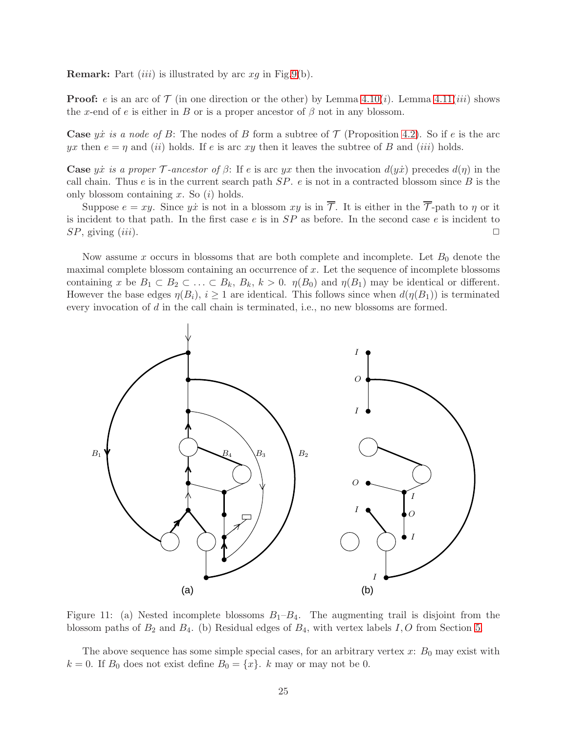**Remark:** Part *(iii)* is illustrated by arc  $xg$  in Fig[.9\(](#page-19-0)b).

**Proof:** e is an arc of  $\mathcal{T}$  (in one direction or the other) by Lemma [4.10\(](#page-19-1)*i*). Lemma [4.11\(](#page-20-0)*iii*) shows the x-end of e is either in B or is a proper ancestor of  $\beta$  not in any blossom.

**Case** yx is a node of B: The nodes of B form a subtree of  $\mathcal{T}$  (Proposition [4.2\)](#page-12-2). So if e is the arc yx then  $e = \eta$  and (ii) holds. If e is arc xy then it leaves the subtree of B and (iii) holds.

Case *yx* is a proper  $\mathcal T$ -ancestor of  $\beta$ : If e is arc *yx* then the invocation  $d(y\dot{x})$  precedes  $d(\eta)$  in the call chain. Thus  $e$  is in the current search path  $SP. e$  is not in a contracted blossom since  $B$  is the only blossom containing x. So  $(i)$  holds.

Suppose  $e = xy$ . Since yx is not in a blossom xy is in  $\overline{\mathcal{T}}$ . It is either in the  $\overline{\mathcal{T}}$ -path to  $\eta$  or it is incident to that path. In the first case  $e$  is in  $SP$  as before. In the second case  $e$  is incident to  $SP$ , giving (iii).

Now assume x occurs in blossoms that are both complete and incomplete. Let  $B_0$  denote the maximal complete blossom containing an occurrence of  $x$ . Let the sequence of incomplete blossoms containing x be  $B_1 \subset B_2 \subset \ldots \subset B_k$ ,  $B_k$ ,  $k > 0$ .  $\eta(B_0)$  and  $\eta(B_1)$  may be identical or different. However the base edges  $\eta(B_i)$ ,  $i \geq 1$  are identical. This follows since when  $d(\eta(B_1))$  is terminated every invocation of d in the call chain is terminated, i.e., no new blossoms are formed.



Figure 11: (a) Nested incomplete blossoms  $B_1-B_4$ . The augmenting trail is disjoint from the blossom paths of  $B_2$  and  $B_4$ . (b) Residual edges of  $B_4$ , with vertex labels I, O from Section [5.](#page-23-0)

The above sequence has some simple special cases, for an arbitrary vertex  $x: B_0$  may exist with  $k = 0$ . If  $B_0$  does not exist define  $B_0 = \{x\}$ . k may or may not be 0.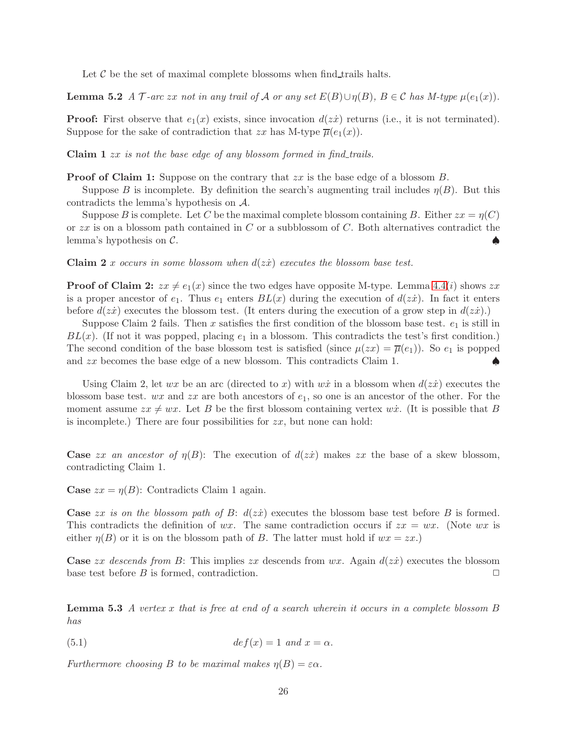<span id="page-25-0"></span>Let  $\mathcal C$  be the set of maximal complete blossoms when find trails halts.

**Lemma 5.2** *A*  $\mathcal{T}$ -arc zx not in any trail of  $\mathcal{A}$  or any set  $E(B) \cup \eta(B)$ ,  $B \in \mathcal{C}$  has M-type  $\mu(e_1(x))$ .

**Proof:** First observe that  $e_1(x)$  exists, since invocation  $d(zt)$  returns (i.e., it is not terminated). Suppose for the sake of contradiction that zx has M-type  $\overline{\mu}(e_1(x))$ .

Claim 1 zx *is not the base edge of any blossom formed in find trails.*

**Proof of Claim 1:** Suppose on the contrary that  $zx$  is the base edge of a blossom  $B$ .

Suppose B is incomplete. By definition the search's augmenting trail includes  $\eta(B)$ . But this contradicts the lemma's hypothesis on A.

Suppose B is complete. Let C be the maximal complete blossom containing B. Either  $zx = \eta(C)$ or  $zx$  is on a blossom path contained in C or a subblossom of C. Both alternatives contradict the lemma's hypothesis on  $\mathcal{C}$ .

Claim 2 x *occurs in some blossom when*  $d(z\dot{x})$  *executes the blossom base test.* 

**Proof of Claim 2:**  $zx \neq e_1(x)$  since the two edges have opposite M-type. Lemma [4.4\(](#page-13-0)*i*) shows zx is a proper ancestor of  $e_1$ . Thus  $e_1$  enters  $BL(x)$  during the execution of  $d(zz)$ . In fact it enters before  $d(zz)$  executes the blossom test. (It enters during the execution of a grow step in  $d(zz)$ .)

Suppose Claim 2 fails. Then x satisfies the first condition of the blossom base test.  $e_1$  is still in  $BL(x)$ . (If not it was popped, placing  $e_1$  in a blossom. This contradicts the test's first condition.) The second condition of the base blossom test is satisfied (since  $\mu(zx) = \overline{\mu}(e_1)$ ). So  $e_1$  is popped and  $zx$  becomes the base edge of a new blossom. This contradicts Claim 1.  $\bullet$ 

Using Claim 2, let wx be an arc (directed to x) with wx in a blossom when  $d(zz)$  executes the blossom base test. wx and  $zx$  are both ancestors of  $e_1$ , so one is an ancestor of the other. For the moment assume  $zx \neq wx$ . Let B be the first blossom containing vertex wxv. (It is possible that B is incomplete.) There are four possibilities for  $zx$ , but none can hold:

**Case** zx an ancestor of  $\eta(B)$ : The execution of  $d(zx)$  makes zx the base of a skew blossom, contradicting Claim 1.

**Case**  $zx = \eta(B)$ : Contradicts Claim 1 again.

**Case** zx is on the blossom path of  $B: d(zz)$  executes the blossom base test before  $B$  is formed. This contradicts the definition of wx. The same contradiction occurs if  $zx = wx$ . (Note wx is either  $\eta(B)$  or it is on the blossom path of B. The latter must hold if  $wx = zx$ .

<span id="page-25-2"></span>**Case** zx descends from B: This implies zx descends from  $wx$ . Again  $d(zz)$  executes the blossom base test before B is formed, contradiction.  $\Box$ 

Lemma 5.3 *A vertex* x *that is free at end of a search wherein it occurs in a complete blossom* B *has*

<span id="page-25-1"></span>(5.1) 
$$
def(x) = 1 \ and \ x = \alpha.
$$

*Furthermore choosing* B *to be maximal makes*  $\eta(B) = \varepsilon \alpha$ .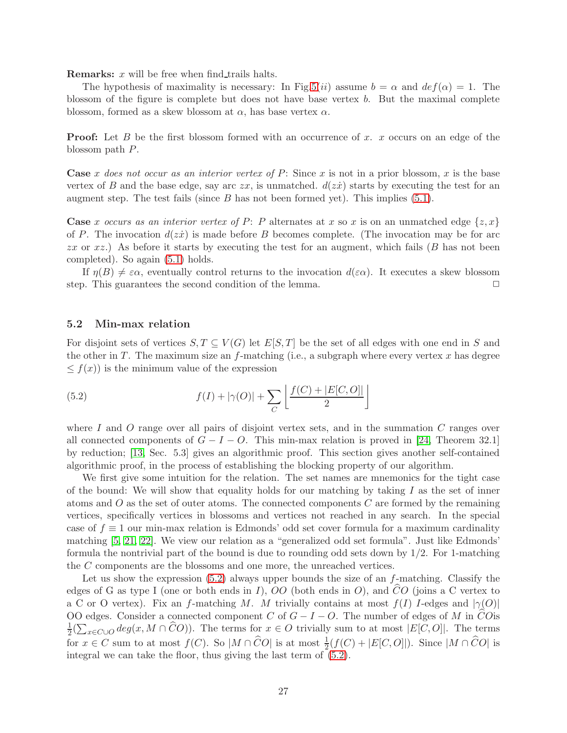**Remarks:**  $x$  will be free when find trails halts.

The hypothesis of maximality is necessary: In Fig[.5\(](#page-10-0)ii) assume  $b = \alpha$  and  $def(\alpha) = 1$ . The blossom of the figure is complete but does not have base vertex b. But the maximal complete blossom, formed as a skew blossom at  $\alpha$ , has base vertex  $\alpha$ .

**Proof:** Let B be the first blossom formed with an occurrence of x. x occurs on an edge of the blossom path P.

**Case** x does not occur as an interior vertex of  $P$ : Since x is not in a prior blossom, x is the base vertex of B and the base edge, say arc  $zx$ , is unmatched.  $d(zx)$  starts by executing the test for an augment step. The test fails (since  $B$  has not been formed yet). This implies  $(5.1)$ .

**Case** x occurs as an interior vertex of P: P alternates at x so x is on an unmatched edge  $\{z, x\}$ of P. The invocation  $d(z\dot{x})$  is made before B becomes complete. (The invocation may be for arc zx or  $xz$ .) As before it starts by executing the test for an augment, which fails (B has not been completed). So again [\(5.1\)](#page-25-1) holds.

If  $η(B) \neq εα$ , eventually control returns to the invocation  $d(εα)$ . It executes a skew blossom o. This guarantees the second condition of the lemma. step. This guarantees the second condition of the lemma.

### 5.2 Min-max relation

For disjoint sets of vertices  $S, T \subseteq V(G)$  let  $E[S, T]$  be the set of all edges with one end in S and the other in  $T$ . The maximum size an f-matching (i.e., a subgraph where every vertex  $x$  has degree  $\leq f(x)$  is the minimum value of the expression

<span id="page-26-0"></span>(5.2) 
$$
f(I) + |\gamma(O)| + \sum_{C} \left[ \frac{f(C) + |E[C, O]|}{2} \right]
$$

where I and O range over all pairs of disjoint vertex sets, and in the summation  $C$  ranges over all connected components of  $G - I - O$ . This min-max relation is proved in [\[24,](#page-32-7) Theorem 32.1] by reduction; [\[13,](#page-32-10) Sec. 5.3] gives an algorithmic proof. This section gives another self-contained algorithmic proof, in the process of establishing the blocking property of our algorithm.

We first give some intuition for the relation. The set names are mnemonics for the tight case of the bound: We will show that equality holds for our matching by taking  $I$  as the set of inner atoms and  $O$  as the set of outer atoms. The connected components  $C$  are formed by the remaining vertices, specifically vertices in blossoms and vertices not reached in any search. In the special case of  $f \equiv 1$  our min-max relation is Edmonds' odd set cover formula for a maximum cardinality matching [\[5,](#page-32-13) [21,](#page-32-14) [22\]](#page-32-15). We view our relation as a "generalized odd set formula". Just like Edmonds' formula the nontrivial part of the bound is due to rounding odd sets down by 1/2. For 1-matching the C components are the blossoms and one more, the unreached vertices.

Let us show the expression  $(5.2)$  always upper bounds the size of an  $f$ -matching. Classify the edges of G as type I (one or both ends in I), OO (both ends in O), and CO (joins a C vertex to a C or O vertex). Fix an f-matching M. M trivially contains at most  $f(I)$  I-edges and  $|\gamma(0)|$ OO edges. Consider a connected component C of  $G - I - O$ . The number of edges of M in COis 1  $\frac{1}{2}(\sum_{x \in C \cup O} deg(x, M \cap \widehat{C}O)).$  The terms for  $x \in O$  trivially sum to at most  $|E[C, O]|$ . The terms for  $x \in C$  sum to at most  $f(C)$ . So  $|M \cap \widehat{C}O|$  is at most  $\frac{1}{2}(f(C) + |E[C, O]|)$ . Since  $|M \cap \widehat{C}O|$  is integral we can take the floor, thus giving the last term of [\(5.2\)](#page-26-0).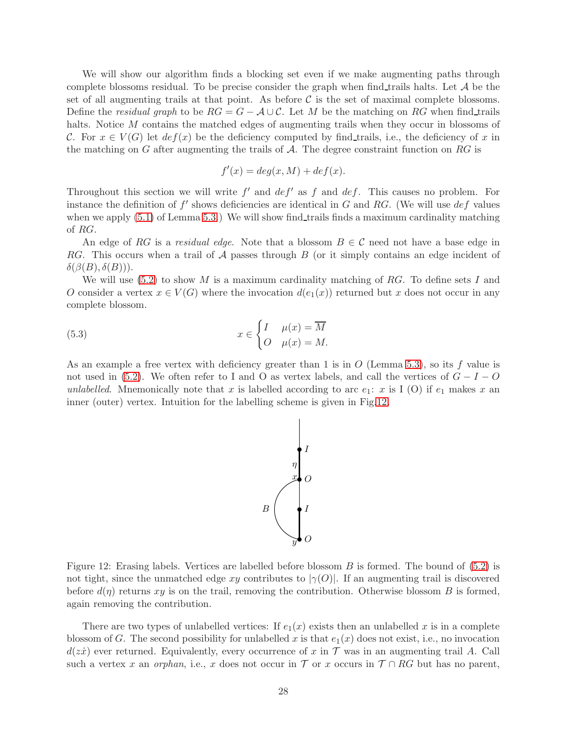We will show our algorithm finds a blocking set even if we make augmenting paths through complete blossoms residual. To be precise consider the graph when find trails halts. Let  $A$  be the set of all augmenting trails at that point. As before  $\mathcal C$  is the set of maximal complete blossoms. Define the *residual graph* to be  $RG = G - \mathcal{A} \cup \mathcal{C}$ . Let M be the matching on RG when find\_trails halts. Notice M contains the matched edges of augmenting trails when they occur in blossoms of C. For  $x \in V(G)$  let  $def(x)$  be the deficiency computed by find trails, i.e., the deficiency of x in the matching on G after augmenting the trails of  $A$ . The degree constraint function on RG is

$$
f'(x) = deg(x, M) + def(x).
$$

Throughout this section we will write  $f'$  and  $def'$  as  $f$  and  $def$ . This causes no problem. For instance the definition of  $f'$  shows deficiencies are identical in G and RG. (We will use  $def$  values when we apply  $(5.1)$  of Lemma [5.3.](#page-25-2)) We will show find trails finds a maximum cardinality matching of RG.

An edge of RG is a *residual edge*. Note that a blossom  $B \in \mathcal{C}$  need not have a base edge in RG. This occurs when a trail of  $A$  passes through  $B$  (or it simply contains an edge incident of  $\delta(\beta(B), \delta(B))$ ).

We will use  $(5.2)$  to show M is a maximum cardinality matching of RG. To define sets I and O consider a vertex  $x \in V(G)$  where the invocation  $d(e_1(x))$  returned but x does not occur in any complete blossom.

(5.3) 
$$
x \in \begin{cases} I & \mu(x) = \overline{M} \\ O & \mu(x) = M. \end{cases}
$$

As an example a free vertex with deficiency greater than 1 is in  $O$  (Lemma [5.3\)](#page-25-2), so its f value is not used in [\(5.2\)](#page-26-0). We often refer to I and O as vertex labels, and call the vertices of  $G - I - O$ *unlabelled*. Mnemonically note that x is labelled according to arc  $e_1$ : x is I (O) if  $e_1$  makes x an inner (outer) vertex. Intuition for the labelling scheme is given in Fig[.12.](#page-27-1)

<span id="page-27-0"></span>

<span id="page-27-1"></span>Figure 12: Erasing labels. Vertices are labelled before blossom  $B$  is formed. The bound of  $(5.2)$  is not tight, since the unmatched edge xy contributes to  $|\gamma(0)|$ . If an augmenting trail is discovered before  $d(\eta)$  returns xy is on the trail, removing the contribution. Otherwise blossom B is formed, again removing the contribution.

There are two types of unlabelled vertices: If  $e_1(x)$  exists then an unlabelled x is in a complete blossom of G. The second possibility for unlabelled x is that  $e_1(x)$  does not exist, i.e., no invocation  $d(zi)$  ever returned. Equivalently, every occurrence of x in T was in an augmenting trail A. Call such a vertex x an *orphan*, i.e., x does not occur in  $\mathcal T$  or x occurs in  $\mathcal T \cap RG$  but has no parent,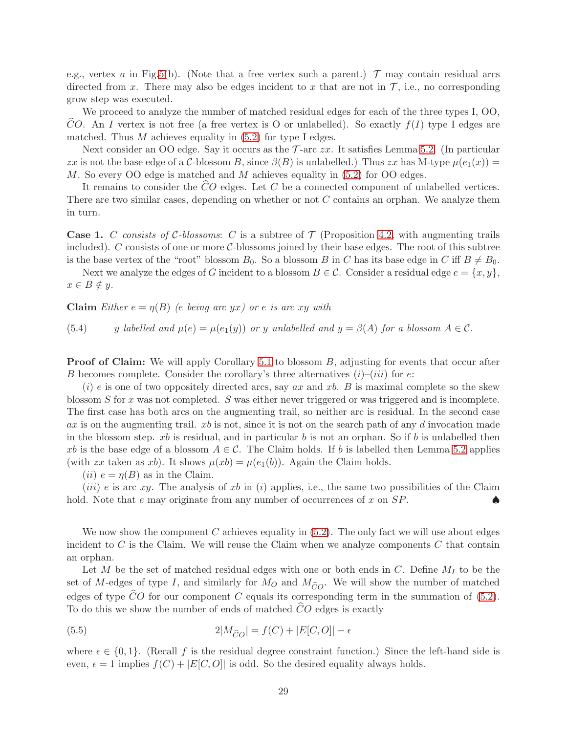e.g., vertex a in Fig[.5\(](#page-10-0)b). (Note that a free vertex such a parent.)  $\mathcal{T}$  may contain residual arcs directed from x. There may also be edges incident to x that are not in  $\mathcal{T}$ , i.e., no corresponding grow step was executed.

We proceed to analyze the number of matched residual edges for each of the three types I, OO, CO. An I vertex is not free (a free vertex is O or unlabelled). So exactly  $f(I)$  type I edges are matched. Thus  $M$  achieves equality in  $(5.2)$  for type I edges.

Next consider an OO edge. Say it occurs as the  $\mathcal{T}$ -arc  $zx$ . It satisfies Lemma [5.2.](#page-25-0) (In particular zx is not the base edge of a C-blossom B, since  $\beta(B)$  is unlabelled.) Thus zx has M-type  $\mu(e_1(x)) =$ M. So every OO edge is matched and M achieves equality in  $(5.2)$  for OO edges.

It remains to consider the  $CO$  edges. Let C be a connected component of unlabelled vertices. There are two similar cases, depending on whether or not  $C$  contains an orphan. We analyze them in turn.

**Case 1.** C consists of C-blossoms: C is a subtree of  $\mathcal{T}$  (Proposition [4.2,](#page-12-2) with augmenting trails included). C consists of one or more C-blossoms joined by their base edges. The root of this subtree is the base vertex of the "root" blossom  $B_0$ . So a blossom B in C has its base edge in C iff  $B \neq B_0$ .

Next we analyze the edges of G incident to a blossom  $B \in \mathcal{C}$ . Consider a residual edge  $e = \{x, y\}$ ,  $x \in B \notin y$ .

**Claim** *Either*  $e = \eta(B)$  *(e being arc yx) or e is arc xy with* 

<span id="page-28-0"></span>(5.4) y *labelled and*  $\mu(e) = \mu(e_1(y))$  *or* y *unlabelled and*  $y = \beta(A)$  *for a blossom*  $A \in \mathcal{C}$ *.* 

**Proof of Claim:** We will apply Corollary [5.1](#page-23-1) to blossom B, adjusting for events that occur after B becomes complete. Consider the corollary's three alternatives  $(i)$ – $(iii)$  for  $e$ :

 $(i)$  e is one of two oppositely directed arcs, say ax and xb. B is maximal complete so the skew blossom S for x was not completed. S was either never triggered or was triggered and is incomplete. The first case has both arcs on the augmenting trail, so neither arc is residual. In the second case  $ax$  is on the augmenting trail.  $xb$  is not, since it is not on the search path of any d invocation made in the blossom step. xb is residual, and in particular b is not an orphan. So if b is unlabelled then xb is the base edge of a blossom  $A \in \mathcal{C}$ . The Claim holds. If b is labelled then Lemma [5.2](#page-25-0) applies (with zx taken as xb). It shows  $\mu(xb) = \mu(e_1(b))$ . Again the Claim holds.

(*ii*)  $e = \eta(B)$  as in the Claim.

(*iii*) e is arc xy. The analysis of xb in (*i*) applies, i.e., the same two possibilities of the Claim hold. Note that e may originate from any number of occurrences of x on  $SP$ .

We now show the component C achieves equality in  $(5.2)$ . The only fact we will use about edges incident to  $C$  is the Claim. We will reuse the Claim when we analyze components  $C$  that contain an orphan.

Let M be the set of matched residual edges with one or both ends in C. Define  $M_I$  to be the set of M-edges of type I, and similarly for  $M_O$  and  $M_{\hat{C}O}$ . We will show the number of matched edges of type  $\hat{C}O$  for our component C equals its corresponding term in the summation of [\(5.2\)](#page-26-0). To do this we show the number of ends of matched  $CO$  edges is exactly

<span id="page-28-1"></span>(5.5) 
$$
2|M_{\widehat{C}O}| = f(C) + |E[C,O]| - \epsilon
$$

where  $\epsilon \in \{0,1\}$ . (Recall f is the residual degree constraint function.) Since the left-hand side is even,  $\epsilon = 1$  implies  $f(C) + |E[C, O]|$  is odd. So the desired equality always holds.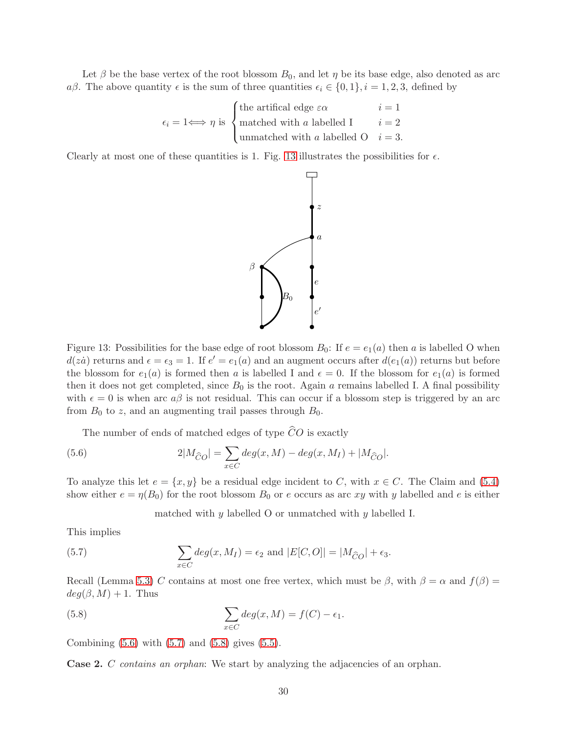Let  $\beta$  be the base vertex of the root blossom  $B_0$ , and let  $\eta$  be its base edge, also denoted as arc aβ. The above quantity  $\epsilon$  is the sum of three quantities  $\epsilon_i \in \{0, 1\}$ ,  $i = 1, 2, 3$ , defined by

$$
\epsilon_i = 1 \Longleftrightarrow \eta \text{ is } \begin{cases} \text{the artificial edge } \varepsilon \alpha & i = 1 \\ \text{matched with } a \text{ labelled } 1 & i = 2 \\ \text{unmatched with } a \text{ labelled } 0 & i = 3. \end{cases}
$$

Clearly at most one of these quantities is 1. Fig. [13](#page-29-0) illustrates the possibilities for  $\epsilon$ .



<span id="page-29-0"></span>Figure 13: Possibilities for the base edge of root blossom  $B_0$ : If  $e = e_1(a)$  then a is labelled O when  $d(za)$  returns and  $\epsilon = \epsilon_3 = 1$ . If  $e' = e_1(a)$  and an augment occurs after  $d(e_1(a))$  returns but before the blossom for  $e_1(a)$  is formed then a is labelled I and  $\epsilon = 0$ . If the blossom for  $e_1(a)$  is formed then it does not get completed, since  $B_0$  is the root. Again a remains labelled I. A final possibility with  $\epsilon = 0$  is when arc  $a\beta$  is not residual. This can occur if a blossom step is triggered by an arc from  $B_0$  to z, and an augmenting trail passes through  $B_0$ .

The number of ends of matched edges of type  $\widehat{C}O$  is exactly

(5.6) 
$$
2|M_{\widehat{C}O}| = \sum_{x \in C} deg(x, M) - deg(x, M_I) + |M_{\widehat{C}O}|.
$$

To analyze this let  $e = \{x, y\}$  be a residual edge incident to C, with  $x \in C$ . The Claim and [\(5.4\)](#page-28-0) show either  $e = \eta(B_0)$  for the root blossom  $B_0$  or e occurs as arc xy with y labelled and e is either

<span id="page-29-3"></span><span id="page-29-2"></span><span id="page-29-1"></span>matched with  $y$  labelled O or unmatched with  $y$  labelled I.

This implies

(5.7) 
$$
\sum_{x \in C} deg(x, M_I) = \epsilon_2 \text{ and } |E[C, O]| = |M_{\widehat{C}O}| + \epsilon_3.
$$

Recall (Lemma [5.3\)](#page-25-2) C contains at most one free vertex, which must be  $\beta$ , with  $\beta = \alpha$  and  $f(\beta) =$  $deg(\beta, M) + 1$ . Thus

(5.8) 
$$
\sum_{x \in C} deg(x, M) = f(C) - \epsilon_1.
$$

Combining  $(5.6)$  with  $(5.7)$  and  $(5.8)$  gives  $(5.5)$ .

<span id="page-29-4"></span>Case 2. C *contains an orphan*: We start by analyzing the adjacencies of an orphan.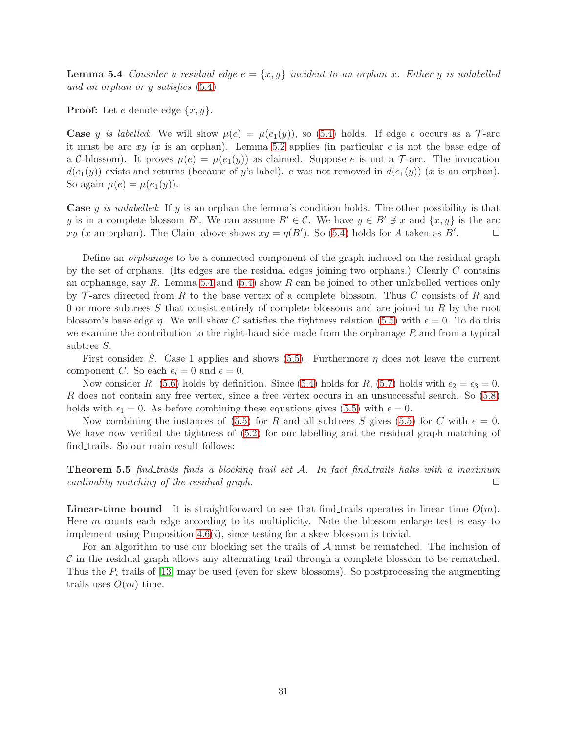**Lemma 5.4** *Consider a residual edge*  $e = \{x, y\}$  *incident to an orphan x. Either* y *is unlabelled and an orphan or* y *satisfies* [\(5.4\)](#page-28-0)*.*

**Proof:** Let e denote edge  $\{x, y\}$ .

**Case** y is labelled: We will show  $\mu(e) = \mu(e_1(y))$ , so [\(5.4\)](#page-28-0) holds. If edge e occurs as a  $\mathcal{T}$ -arc it must be arc  $xy$  (x is an orphan). Lemma [5.2](#page-25-0) applies (in particular  $e$  is not the base edge of a C-blossom). It proves  $\mu(e) = \mu(e_1(y))$  as claimed. Suppose e is not a T-arc. The invocation  $d(e_1(y))$  exists and returns (because of y's label). e was not removed in  $d(e_1(y))$  (x is an orphan). So again  $\mu(e) = \mu(e_1(y))$ .

Case y *is unlabelled*: If y is an orphan the lemma's condition holds. The other possibility is that y is in a complete blossom B'. We can assume  $B' \in \mathcal{C}$ . We have  $y \in B' \not\ni x$  and  $\{x, y\}$  is the arc xy (x an orphan). The Claim above shows  $xy = \eta(B')$ . So [\(5.4\)](#page-28-0) holds for A taken as B'  $\Box$ 

Define an *orphanage* to be a connected component of the graph induced on the residual graph by the set of orphans. (Its edges are the residual edges joining two orphans.) Clearly C contains an orphanage, say R. Lemma [5.4](#page-29-4) and  $(5.4)$  show R can be joined to other unlabelled vertices only by  $\mathcal T$ -arcs directed from R to the base vertex of a complete blossom. Thus C consists of R and 0 or more subtrees S that consist entirely of complete blossoms and are joined to R by the root blossom's base edge  $\eta$ . We will show C satisfies the tightness relation [\(5.5\)](#page-28-1) with  $\epsilon = 0$ . To do this we examine the contribution to the right-hand side made from the orphanage  $R$  and from a typical subtree S.

First consider S. Case 1 applies and shows  $(5.5)$ . Furthermore  $\eta$  does not leave the current component C. So each  $\epsilon_i = 0$  and  $\epsilon = 0$ .

Now consider R. [\(5.6\)](#page-29-1) holds by definition. Since [\(5.4\)](#page-28-0) holds for R, [\(5.7\)](#page-29-2) holds with  $\epsilon_2 = \epsilon_3 = 0$ . R does not contain any free vertex, since a free vertex occurs in an unsuccessful search. So [\(5.8\)](#page-29-3) holds with  $\epsilon_1 = 0$ . As before combining these equations gives [\(5.5\)](#page-28-1) with  $\epsilon = 0$ .

<span id="page-30-0"></span>Now combining the instances of [\(5.5\)](#page-28-1) for R and all subtrees S gives (5.5) for C with  $\epsilon = 0$ . We have now verified the tightness of  $(5.2)$  for our labelling and the residual graph matching of find trails. So our main result follows:

**Theorem 5.5** *find\_trails finds a blocking trail set*  $A$ *. In fact find\_trails halts with a maximum cardinality matching of the residual graph cardinality matching of the residual graph.* 

**Linear-time bound** It is straightforward to see that find trails operates in linear time  $O(m)$ . Here m counts each edge according to its multiplicity. Note the blossom enlarge test is easy to implement using Proposition  $4.6(i)$ , since testing for a skew blossom is trivial.

For an algorithm to use our blocking set the trails of A must be rematched. The inclusion of  $\mathcal C$  in the residual graph allows any alternating trail through a complete blossom to be rematched. Thus the  $P_i$  trails of [\[13\]](#page-32-10) may be used (even for skew blossoms). So postprocessing the augmenting trails uses  $O(m)$  time.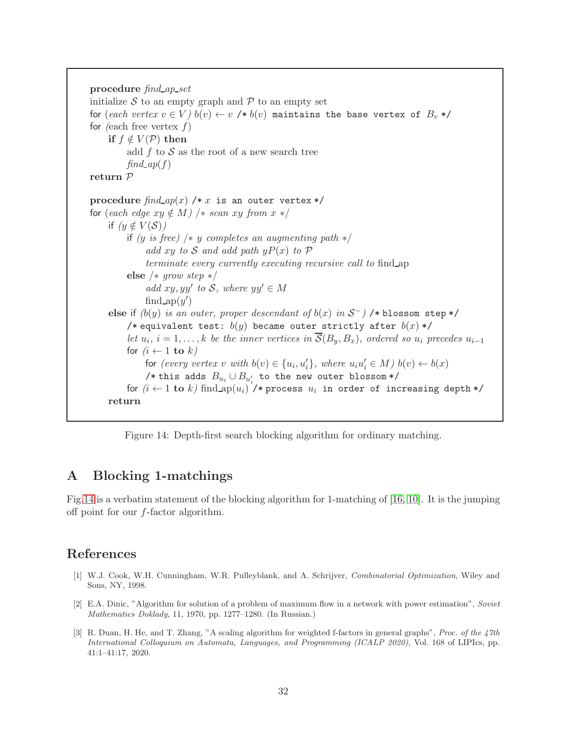procedure *find ap set* initialize  $S$  to an empty graph and  $P$  to an empty set for (*each vertex*  $v \in V$ )  $b(v) \leftarrow v$  /\*  $b(v)$  maintains the base vertex of  $B_v$  \*/ for *(*each free vertex f) if  $f \notin V(\mathcal{P})$  then add  $f$  to  $S$  as the root of a new search tree  $find$ <sub>*ap* $(f)$ </sub> return P procedure  $find_{ap}(x)$  /\* x is an outer vertex \*/ for  $(each \ edge \ xy \notin M)$  /\* *scan* xy from  $x \ast$ / if  $(y \notin V(S))$ if *(*y *is free)* /∗ y *completes an augmenting path* ∗/ *add* xy to S and add path  $yP(x)$  to P *terminate every currently executing recursive call to* find ap else /∗ *grow step* ∗/  $add xy, yy'$  to  $S$ *, where*  $yy' \in M$ find  $ap(y')$ else if  $(b(y)$  *is an outer, proper descendant of*  $b(x)$  *in*  $S^-$ *)* /\* blossom step \*/ /\* equivalent test:  $b(y)$  became outer strictly after  $b(x)$  \*/ *let*  $u_i$ ,  $i = 1, \ldots, k$  *be the inner vertices in*  $\mathcal{S}(B_y, B_x)$ , ordered so  $u_i$  precedes  $u_{i-1}$ for  $(i \leftarrow 1$  to  $k$ ) for  $(every\ vertex\ v\ with\ b(v) \in \{u_i, u'_i\}$ , where  $u_i u'_i \in M$ )  $b(v) \leftarrow b(x)$  $\mathcal{N}^\ast$  this adds  $B_{u_i} \cup B_{u'_i}$  to the new outer blossom \*/ for  $(i \leftarrow 1$  to k) find ap $(u_i)$  /\* process  $u_i$  in order of increasing depth \*/ return

<span id="page-31-3"></span>Figure 14: Depth-first search blocking algorithm for ordinary matching.

# <span id="page-31-2"></span>A Blocking 1-matchings

Fig[.14](#page-31-3) is a verbatim statement of the blocking algorithm for 1-matching of [\[16,](#page-32-2) [10\]](#page-32-9). It is the jumping off point for our f-factor algorithm.

# References

- [1] W.J. Cook, W.H. Cunningham, W.R. Pulleyblank, and A. Schrijver, Combinatorial Optimization, Wiley and Sons, NY, 1998.
- <span id="page-31-0"></span>[2] E.A. Dinic, "Algorithm for solution of a problem of maximum flow in a network with power estimation", Soviet Mathematics Doklady, 11, 1970, pp. 1277–1280. (In Russian.)
- <span id="page-31-1"></span>[3] R. Duan, H. He, and T. Zhang, "A scaling algorithm for weighted f-factors in general graphs", Proc. of the 47th International Colloquium on Automata, Languages, and Programming (ICALP 2020), Vol. 168 of LIPIcs, pp. 41:1–41:17, 2020.